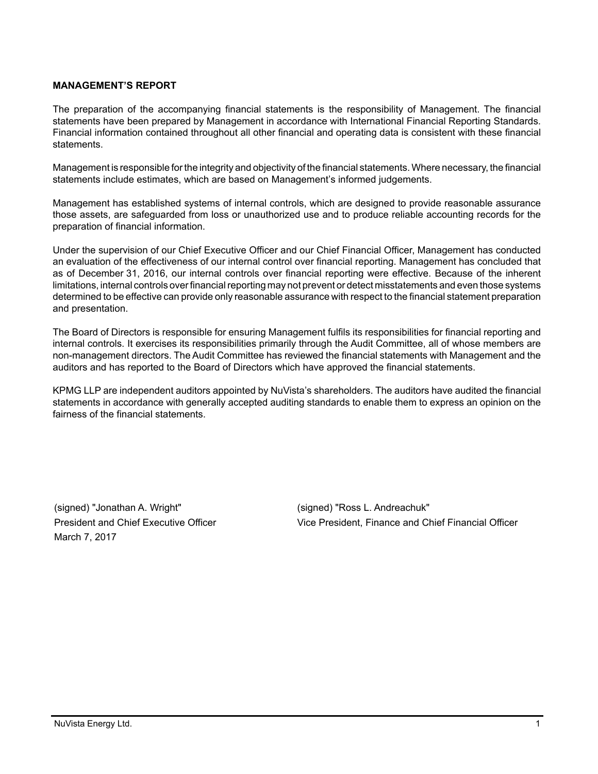# **MANAGEMENT'S REPORT**

The preparation of the accompanying financial statements is the responsibility of Management. The financial statements have been prepared by Management in accordance with International Financial Reporting Standards. Financial information contained throughout all other financial and operating data is consistent with these financial statements.

Management is responsible for the integrity and objectivity of the financial statements. Where necessary, the financial statements include estimates, which are based on Management's informed judgements.

Management has established systems of internal controls, which are designed to provide reasonable assurance those assets, are safeguarded from loss or unauthorized use and to produce reliable accounting records for the preparation of financial information.

Under the supervision of our Chief Executive Officer and our Chief Financial Officer, Management has conducted an evaluation of the effectiveness of our internal control over financial reporting. Management has concluded that as of December 31, 2016, our internal controls over financial reporting were effective. Because of the inherent limitations, internal controls over financial reporting may not prevent or detect misstatements and even those systems determined to be effective can provide only reasonable assurance with respect to the financial statement preparation and presentation.

The Board of Directors is responsible for ensuring Management fulfils its responsibilities for financial reporting and internal controls. It exercises its responsibilities primarily through the Audit Committee, all of whose members are non-management directors. The Audit Committee has reviewed the financial statements with Management and the auditors and has reported to the Board of Directors which have approved the financial statements.

KPMG LLP are independent auditors appointed by NuVista's shareholders. The auditors have audited the financial statements in accordance with generally accepted auditing standards to enable them to express an opinion on the fairness of the financial statements.

(signed) "Jonathan A. Wright" (signed) "Ross L. Andreachuk" March 7, 2017

President and Chief Executive Officer Vice President, Finance and Chief Financial Officer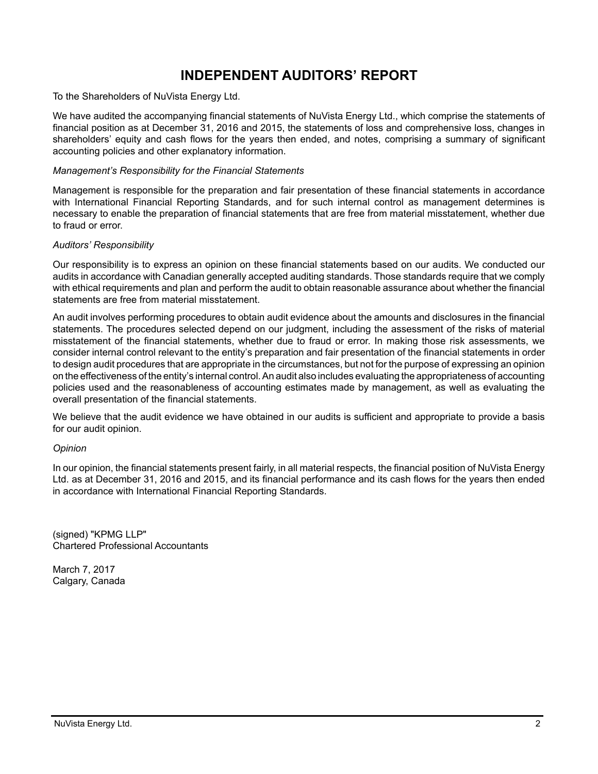# **INDEPENDENT AUDITORS' REPORT**

To the Shareholders of NuVista Energy Ltd.

We have audited the accompanying financial statements of NuVista Energy Ltd., which comprise the statements of financial position as at December 31, 2016 and 2015, the statements of loss and comprehensive loss, changes in shareholders' equity and cash flows for the years then ended, and notes, comprising a summary of significant accounting policies and other explanatory information.

# *Management's Responsibility for the Financial Statements*

Management is responsible for the preparation and fair presentation of these financial statements in accordance with International Financial Reporting Standards, and for such internal control as management determines is necessary to enable the preparation of financial statements that are free from material misstatement, whether due to fraud or error.

# *Auditors' Responsibility*

Our responsibility is to express an opinion on these financial statements based on our audits. We conducted our audits in accordance with Canadian generally accepted auditing standards. Those standards require that we comply with ethical requirements and plan and perform the audit to obtain reasonable assurance about whether the financial statements are free from material misstatement.

An audit involves performing procedures to obtain audit evidence about the amounts and disclosures in the financial statements. The procedures selected depend on our judgment, including the assessment of the risks of material misstatement of the financial statements, whether due to fraud or error. In making those risk assessments, we consider internal control relevant to the entity's preparation and fair presentation of the financial statements in order to design audit procedures that are appropriate in the circumstances, but not for the purpose of expressing an opinion on the effectiveness of the entity's internal control.An audit also includes evaluating the appropriateness of accounting policies used and the reasonableness of accounting estimates made by management, as well as evaluating the overall presentation of the financial statements.

We believe that the audit evidence we have obtained in our audits is sufficient and appropriate to provide a basis for our audit opinion.

#### *Opinion*

In our opinion, the financial statements present fairly, in all material respects, the financial position of NuVista Energy Ltd. as at December 31, 2016 and 2015, and its financial performance and its cash flows for the years then ended in accordance with International Financial Reporting Standards.

(signed) "KPMG LLP" Chartered Professional Accountants

March 7, 2017 Calgary, Canada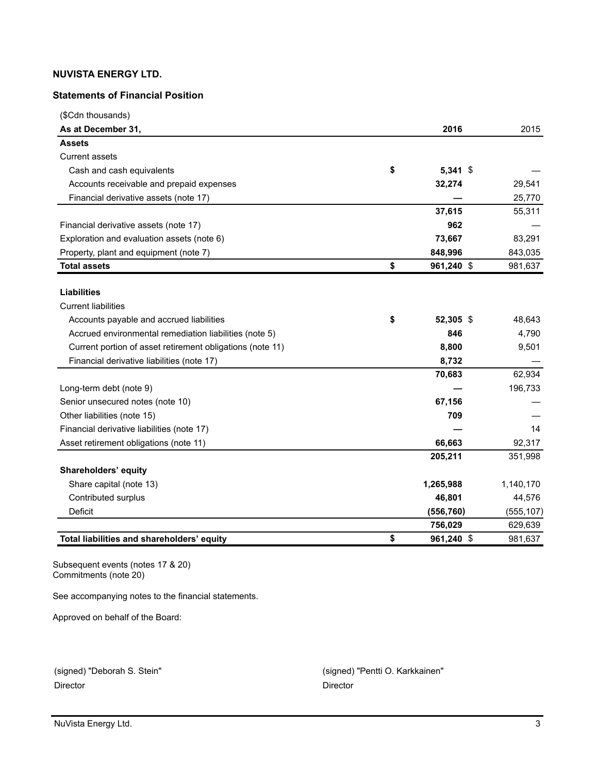# **Statements of Financial Position**

| (\$Cdn thousands)                                         |                  |            |
|-----------------------------------------------------------|------------------|------------|
| As at December 31,                                        | 2016             | 2015       |
| <b>Assets</b>                                             |                  |            |
| <b>Current assets</b>                                     |                  |            |
| Cash and cash equivalents                                 | \$<br>5,341 \$   |            |
| Accounts receivable and prepaid expenses                  | 32,274           | 29,541     |
| Financial derivative assets (note 17)                     |                  | 25,770     |
|                                                           | 37,615           | 55,311     |
| Financial derivative assets (note 17)                     | 962              |            |
| Exploration and evaluation assets (note 6)                | 73,667           | 83,291     |
| Property, plant and equipment (note 7)                    | 848,996          | 843,035    |
| <b>Total assets</b>                                       | \$<br>961,240 \$ | 981,637    |
|                                                           |                  |            |
| <b>Liabilities</b>                                        |                  |            |
| <b>Current liabilities</b>                                |                  |            |
| Accounts payable and accrued liabilities                  | \$<br>52,305 \$  | 48,643     |
| Accrued environmental remediation liabilities (note 5)    | 846              | 4,790      |
| Current portion of asset retirement obligations (note 11) | 8,800            | 9,501      |
| Financial derivative liabilities (note 17)                | 8,732            |            |
|                                                           | 70,683           | 62,934     |
| Long-term debt (note 9)                                   |                  | 196,733    |
| Senior unsecured notes (note 10)                          | 67,156           |            |
| Other liabilities (note 15)                               | 709              |            |
| Financial derivative liabilities (note 17)                |                  | 14         |
| Asset retirement obligations (note 11)                    | 66,663           | 92,317     |
|                                                           | 205,211          | 351,998    |
| Shareholders' equity                                      |                  |            |
| Share capital (note 13)                                   | 1,265,988        | 1,140,170  |
| Contributed surplus                                       | 46,801           | 44,576     |
| Deficit                                                   | (556, 760)       | (555, 107) |
|                                                           | 756,029          | 629,639    |
| Total liabilities and shareholders' equity                | \$<br>961,240 \$ | 981,637    |

Subsequent events (notes 17 & 20) Commitments (note 20)

See accompanying notes to the financial statements.

Approved on behalf of the Board:

Director Director

(signed) "Deborah S. Stein" (signed) "Pentti O. Karkkainen"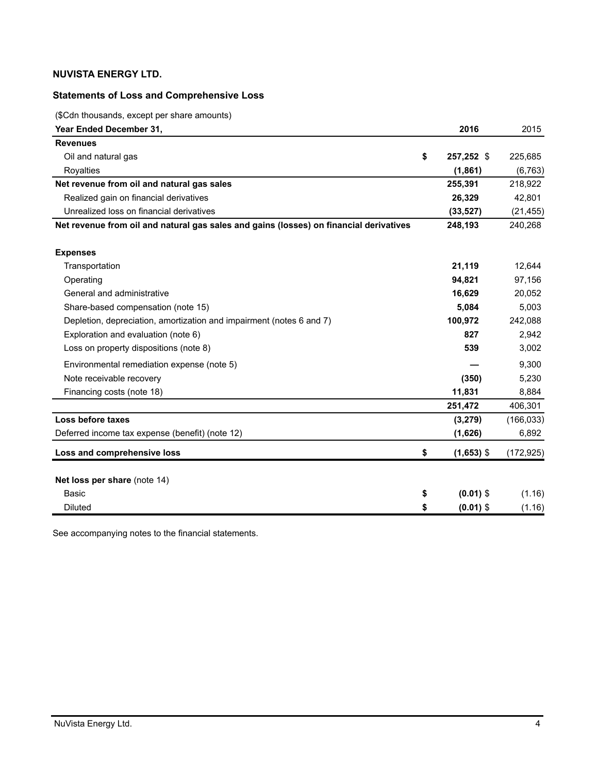# **Statements of Loss and Comprehensive Loss**

(\$Cdn thousands, except per share amounts)

| Year Ended December 31,                                                                | 2016               | 2015       |
|----------------------------------------------------------------------------------------|--------------------|------------|
| <b>Revenues</b>                                                                        |                    |            |
| Oil and natural gas                                                                    | \$<br>257,252 \$   | 225,685    |
| Royalties                                                                              | (1, 861)           | (6, 763)   |
| Net revenue from oil and natural gas sales                                             | 255,391            | 218,922    |
| Realized gain on financial derivatives                                                 | 26,329             | 42,801     |
| Unrealized loss on financial derivatives                                               | (33, 527)          | (21, 455)  |
| Net revenue from oil and natural gas sales and gains (losses) on financial derivatives | 248,193            | 240,268    |
| <b>Expenses</b>                                                                        |                    |            |
| Transportation                                                                         | 21,119             | 12,644     |
| Operating                                                                              | 94,821             | 97,156     |
| General and administrative                                                             | 16,629             | 20,052     |
| Share-based compensation (note 15)                                                     | 5,084              | 5,003      |
| Depletion, depreciation, amortization and impairment (notes 6 and 7)                   | 100,972            | 242,088    |
| Exploration and evaluation (note 6)                                                    | 827                | 2,942      |
| Loss on property dispositions (note 8)                                                 | 539                | 3,002      |
| Environmental remediation expense (note 5)                                             |                    | 9,300      |
| Note receivable recovery                                                               | (350)              | 5,230      |
| Financing costs (note 18)                                                              | 11,831             | 8,884      |
|                                                                                        | 251,472            | 406,301    |
| Loss before taxes                                                                      | (3, 279)           | (166, 033) |
| Deferred income tax expense (benefit) (note 12)                                        | (1,626)            | 6,892      |
| Loss and comprehensive loss                                                            | \$<br>$(1,653)$ \$ | (172, 925) |
| Net loss per share (note 14)                                                           |                    |            |
| Basic                                                                                  | \$<br>$(0.01)$ \$  | (1.16)     |
| <b>Diluted</b>                                                                         | \$<br>$(0.01)$ \$  | (1.16)     |
|                                                                                        |                    |            |

See accompanying notes to the financial statements.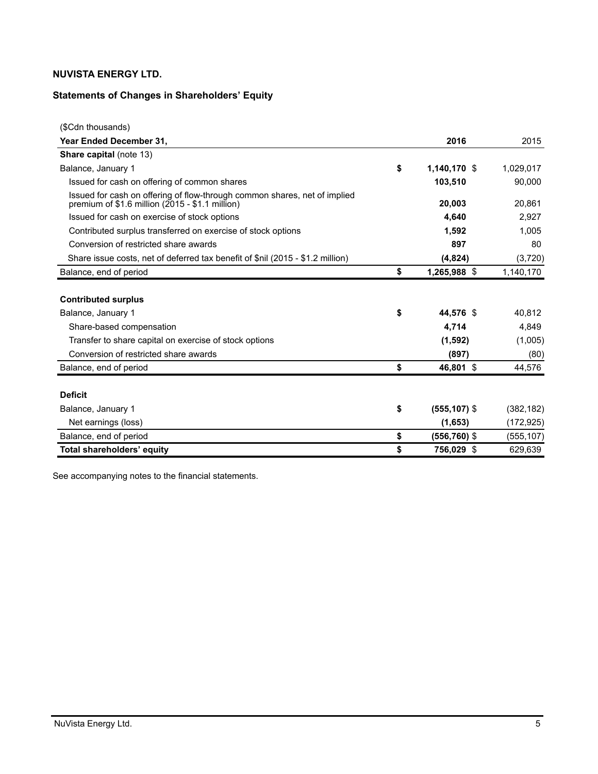# **Statements of Changes in Shareholders' Equity**

| (\$Cdn thousands)                                                                                                               |                       |            |
|---------------------------------------------------------------------------------------------------------------------------------|-----------------------|------------|
| Year Ended December 31,                                                                                                         | 2016                  | 2015       |
| <b>Share capital (note 13)</b>                                                                                                  |                       |            |
| Balance, January 1                                                                                                              | \$<br>1,140,170 \$    | 1,029,017  |
| Issued for cash on offering of common shares                                                                                    | 103,510               | 90,000     |
| Issued for cash on offering of flow-through common shares, net of implied<br>premium of $$1.6$ million ( $2015 - $1.1$ million) | 20,003                | 20,861     |
| Issued for cash on exercise of stock options                                                                                    | 4.640                 | 2,927      |
| Contributed surplus transferred on exercise of stock options                                                                    | 1,592                 | 1,005      |
| Conversion of restricted share awards                                                                                           | 897                   | 80         |
| Share issue costs, net of deferred tax benefit of \$nil (2015 - \$1.2 million)                                                  | (4,824)               | (3,720)    |
| Balance, end of period                                                                                                          | \$<br>1,265,988 \$    | 1,140,170  |
| <b>Contributed surplus</b>                                                                                                      |                       |            |
| Balance, January 1                                                                                                              | \$<br>44,576 \$       | 40,812     |
| Share-based compensation                                                                                                        | 4,714                 | 4,849      |
| Transfer to share capital on exercise of stock options                                                                          | (1,592)               | (1,005)    |
| Conversion of restricted share awards                                                                                           | (897)                 | (80)       |
| Balance, end of period                                                                                                          | \$<br>46,801 \$       | 44,576     |
|                                                                                                                                 |                       |            |
| <b>Deficit</b>                                                                                                                  |                       |            |
| Balance, January 1                                                                                                              | \$<br>$(555, 107)$ \$ | (382, 182) |
| Net earnings (loss)                                                                                                             | (1,653)               | (172, 925) |
| Balance, end of period                                                                                                          | \$<br>$(556, 760)$ \$ | (555, 107) |
| Total shareholders' equity                                                                                                      | \$<br>756,029 \$      | 629,639    |

See accompanying notes to the financial statements.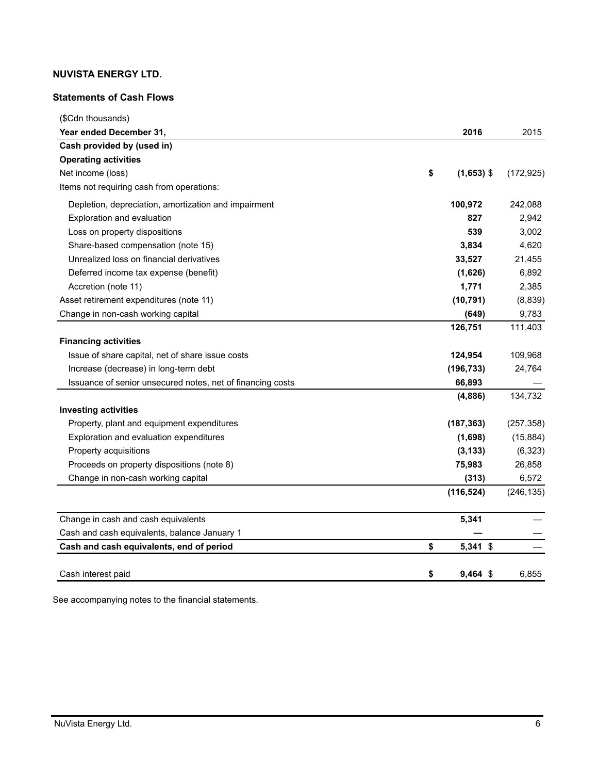# **Statements of Cash Flows**

| (\$Cdn thousands)                                          |                    |            |
|------------------------------------------------------------|--------------------|------------|
| Year ended December 31,                                    | 2016               | 2015       |
| Cash provided by (used in)                                 |                    |            |
| <b>Operating activities</b>                                |                    |            |
| Net income (loss)                                          | \$<br>$(1,653)$ \$ | (172, 925) |
| Items not requiring cash from operations:                  |                    |            |
| Depletion, depreciation, amortization and impairment       | 100,972            | 242,088    |
| Exploration and evaluation                                 | 827                | 2,942      |
| Loss on property dispositions                              | 539                | 3,002      |
| Share-based compensation (note 15)                         | 3,834              | 4,620      |
| Unrealized loss on financial derivatives                   | 33,527             | 21,455     |
| Deferred income tax expense (benefit)                      | (1,626)            | 6,892      |
| Accretion (note 11)                                        | 1,771              | 2,385      |
| Asset retirement expenditures (note 11)                    | (10, 791)          | (8,839)    |
| Change in non-cash working capital                         | (649)              | 9,783      |
|                                                            | 126,751            | 111,403    |
| <b>Financing activities</b>                                |                    |            |
| Issue of share capital, net of share issue costs           | 124,954            | 109,968    |
| Increase (decrease) in long-term debt                      | (196, 733)         | 24,764     |
| Issuance of senior unsecured notes, net of financing costs | 66,893             |            |
|                                                            | (4,886)            | 134,732    |
| <b>Investing activities</b>                                |                    |            |
| Property, plant and equipment expenditures                 | (187, 363)         | (257, 358) |
| Exploration and evaluation expenditures                    | (1,698)            | (15, 884)  |
| Property acquisitions                                      | (3, 133)           | (6, 323)   |
| Proceeds on property dispositions (note 8)                 | 75,983             | 26,858     |
| Change in non-cash working capital                         | (313)              | 6,572      |
|                                                            | (116, 524)         | (246, 135) |
| Change in cash and cash equivalents                        | 5,341              |            |
| Cash and cash equivalents, balance January 1               |                    |            |
| Cash and cash equivalents, end of period                   | \$<br>5,341 \$     |            |
| Cash interest paid                                         | \$<br>$9,464$ \$   | 6,855      |

See accompanying notes to the financial statements.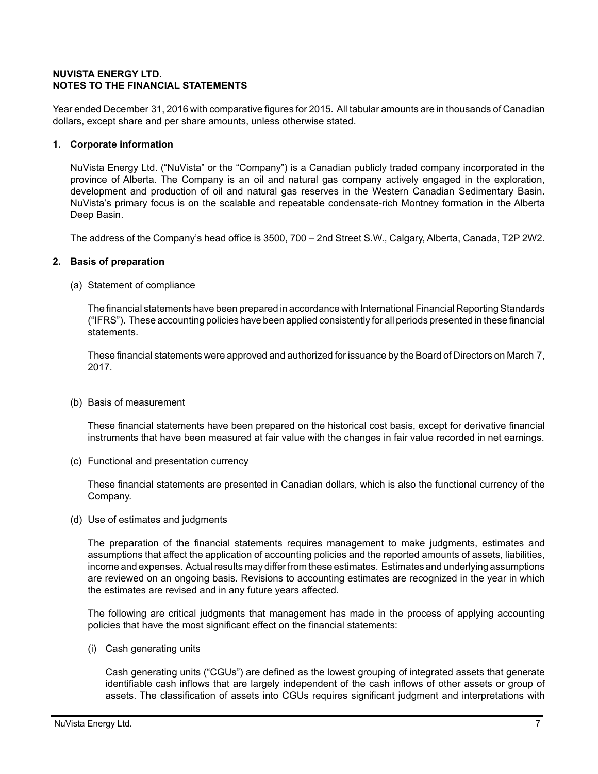# **NUVISTA ENERGY LTD. NOTES TO THE FINANCIAL STATEMENTS**

Year ended December 31, 2016 with comparative figures for 2015. All tabular amounts are in thousands of Canadian dollars, except share and per share amounts, unless otherwise stated.

# **1. Corporate information**

NuVista Energy Ltd. ("NuVista" or the "Company") is a Canadian publicly traded company incorporated in the province of Alberta. The Company is an oil and natural gas company actively engaged in the exploration, development and production of oil and natural gas reserves in the Western Canadian Sedimentary Basin. NuVista's primary focus is on the scalable and repeatable condensate-rich Montney formation in the Alberta Deep Basin.

The address of the Company's head office is 3500, 700 – 2nd Street S.W., Calgary, Alberta, Canada, T2P 2W2.

# **2. Basis of preparation**

(a) Statement of compliance

The financial statements have been prepared in accordance with International Financial Reporting Standards ("IFRS"). These accounting policies have been applied consistently for all periods presented in these financial statements.

These financial statements were approved and authorized for issuance by the Board of Directors on March 7, 2017.

(b) Basis of measurement

These financial statements have been prepared on the historical cost basis, except for derivative financial instruments that have been measured at fair value with the changes in fair value recorded in net earnings.

(c) Functional and presentation currency

These financial statements are presented in Canadian dollars, which is also the functional currency of the Company.

(d) Use of estimates and judgments

The preparation of the financial statements requires management to make judgments, estimates and assumptions that affect the application of accounting policies and the reported amounts of assets, liabilities, income and expenses. Actual results may differ from these estimates. Estimates and underlying assumptions are reviewed on an ongoing basis. Revisions to accounting estimates are recognized in the year in which the estimates are revised and in any future years affected.

The following are critical judgments that management has made in the process of applying accounting policies that have the most significant effect on the financial statements:

(i) Cash generating units

Cash generating units ("CGUs") are defined as the lowest grouping of integrated assets that generate identifiable cash inflows that are largely independent of the cash inflows of other assets or group of assets. The classification of assets into CGUs requires significant judgment and interpretations with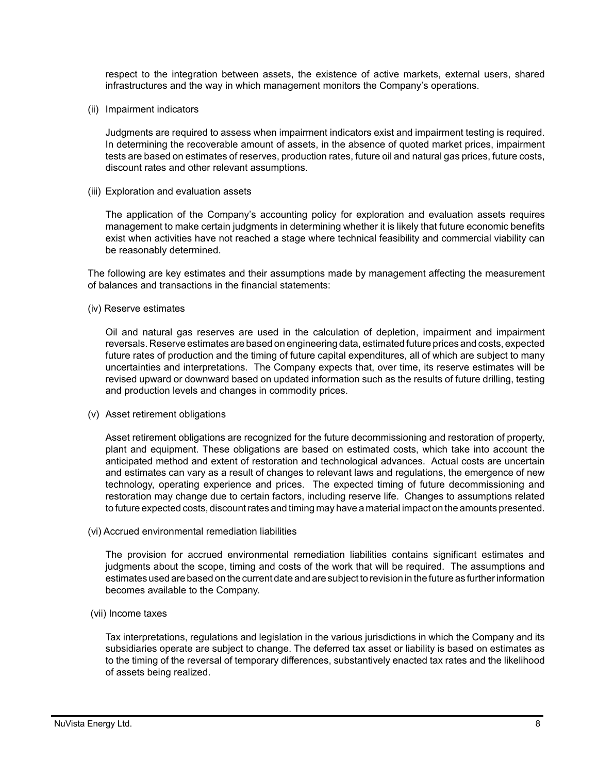respect to the integration between assets, the existence of active markets, external users, shared infrastructures and the way in which management monitors the Company's operations.

(ii) Impairment indicators

Judgments are required to assess when impairment indicators exist and impairment testing is required. In determining the recoverable amount of assets, in the absence of quoted market prices, impairment tests are based on estimates of reserves, production rates, future oil and natural gas prices, future costs, discount rates and other relevant assumptions.

(iii) Exploration and evaluation assets

The application of the Company's accounting policy for exploration and evaluation assets requires management to make certain judgments in determining whether it is likely that future economic benefits exist when activities have not reached a stage where technical feasibility and commercial viability can be reasonably determined.

The following are key estimates and their assumptions made by management affecting the measurement of balances and transactions in the financial statements:

(iv) Reserve estimates

Oil and natural gas reserves are used in the calculation of depletion, impairment and impairment reversals. Reserve estimates are based on engineering data, estimated future prices and costs, expected future rates of production and the timing of future capital expenditures, all of which are subject to many uncertainties and interpretations. The Company expects that, over time, its reserve estimates will be revised upward or downward based on updated information such as the results of future drilling, testing and production levels and changes in commodity prices.

(v) Asset retirement obligations

Asset retirement obligations are recognized for the future decommissioning and restoration of property, plant and equipment. These obligations are based on estimated costs, which take into account the anticipated method and extent of restoration and technological advances. Actual costs are uncertain and estimates can vary as a result of changes to relevant laws and regulations, the emergence of new technology, operating experience and prices. The expected timing of future decommissioning and restoration may change due to certain factors, including reserve life. Changes to assumptions related to future expected costs, discount rates and timing may have a material impact on the amounts presented.

(vi) Accrued environmental remediation liabilities

The provision for accrued environmental remediation liabilities contains significant estimates and judgments about the scope, timing and costs of the work that will be required. The assumptions and estimates used are based on the current date and are subject to revision in the future as further information becomes available to the Company.

(vii) Income taxes

Tax interpretations, regulations and legislation in the various jurisdictions in which the Company and its subsidiaries operate are subject to change. The deferred tax asset or liability is based on estimates as to the timing of the reversal of temporary differences, substantively enacted tax rates and the likelihood of assets being realized.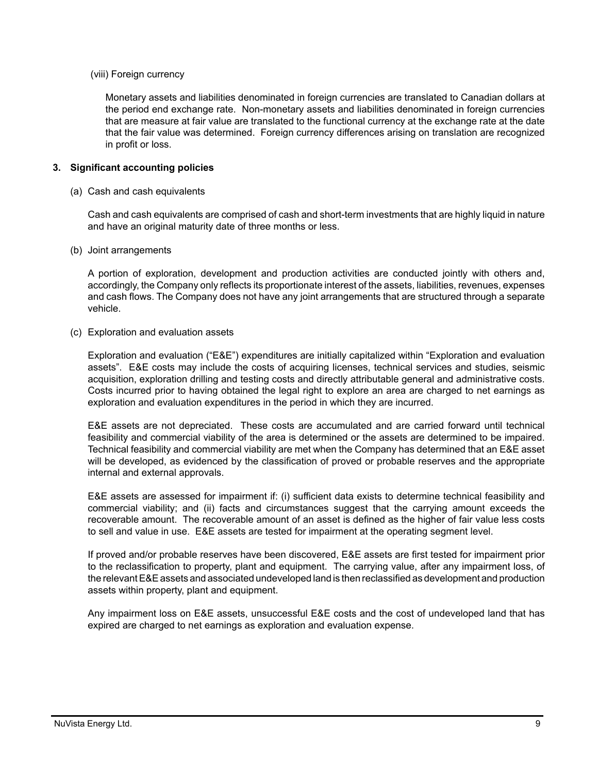#### (viii) Foreign currency

Monetary assets and liabilities denominated in foreign currencies are translated to Canadian dollars at the period end exchange rate. Non-monetary assets and liabilities denominated in foreign currencies that are measure at fair value are translated to the functional currency at the exchange rate at the date that the fair value was determined. Foreign currency differences arising on translation are recognized in profit or loss.

# **3. Significant accounting policies**

(a) Cash and cash equivalents

Cash and cash equivalents are comprised of cash and short-term investments that are highly liquid in nature and have an original maturity date of three months or less.

(b) Joint arrangements

A portion of exploration, development and production activities are conducted jointly with others and, accordingly, the Company only reflects its proportionate interest of the assets, liabilities, revenues, expenses and cash flows. The Company does not have any joint arrangements that are structured through a separate vehicle.

(c) Exploration and evaluation assets

Exploration and evaluation ("E&E") expenditures are initially capitalized within "Exploration and evaluation assets". E&E costs may include the costs of acquiring licenses, technical services and studies, seismic acquisition, exploration drilling and testing costs and directly attributable general and administrative costs. Costs incurred prior to having obtained the legal right to explore an area are charged to net earnings as exploration and evaluation expenditures in the period in which they are incurred.

E&E assets are not depreciated. These costs are accumulated and are carried forward until technical feasibility and commercial viability of the area is determined or the assets are determined to be impaired. Technical feasibility and commercial viability are met when the Company has determined that an E&E asset will be developed, as evidenced by the classification of proved or probable reserves and the appropriate internal and external approvals.

E&E assets are assessed for impairment if: (i) sufficient data exists to determine technical feasibility and commercial viability; and (ii) facts and circumstances suggest that the carrying amount exceeds the recoverable amount. The recoverable amount of an asset is defined as the higher of fair value less costs to sell and value in use. E&E assets are tested for impairment at the operating segment level.

If proved and/or probable reserves have been discovered, E&E assets are first tested for impairment prior to the reclassification to property, plant and equipment. The carrying value, after any impairment loss, of the relevant E&E assets and associated undeveloped land is then reclassified as development and production assets within property, plant and equipment.

Any impairment loss on E&E assets, unsuccessful E&E costs and the cost of undeveloped land that has expired are charged to net earnings as exploration and evaluation expense.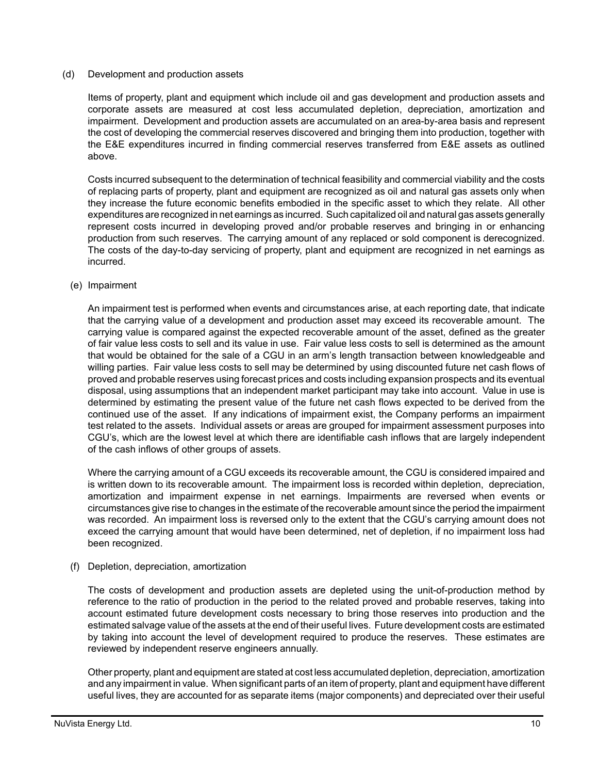# (d) Development and production assets

Items of property, plant and equipment which include oil and gas development and production assets and corporate assets are measured at cost less accumulated depletion, depreciation, amortization and impairment. Development and production assets are accumulated on an area-by-area basis and represent the cost of developing the commercial reserves discovered and bringing them into production, together with the E&E expenditures incurred in finding commercial reserves transferred from E&E assets as outlined above.

Costs incurred subsequent to the determination of technical feasibility and commercial viability and the costs of replacing parts of property, plant and equipment are recognized as oil and natural gas assets only when they increase the future economic benefits embodied in the specific asset to which they relate. All other expenditures are recognized in net earnings as incurred. Such capitalized oil and natural gas assets generally represent costs incurred in developing proved and/or probable reserves and bringing in or enhancing production from such reserves. The carrying amount of any replaced or sold component is derecognized. The costs of the day-to-day servicing of property, plant and equipment are recognized in net earnings as incurred.

# (e) Impairment

An impairment test is performed when events and circumstances arise, at each reporting date, that indicate that the carrying value of a development and production asset may exceed its recoverable amount. The carrying value is compared against the expected recoverable amount of the asset, defined as the greater of fair value less costs to sell and its value in use. Fair value less costs to sell is determined as the amount that would be obtained for the sale of a CGU in an arm's length transaction between knowledgeable and willing parties. Fair value less costs to sell may be determined by using discounted future net cash flows of proved and probable reserves using forecast prices and costs including expansion prospects and its eventual disposal, using assumptions that an independent market participant may take into account. Value in use is determined by estimating the present value of the future net cash flows expected to be derived from the continued use of the asset. If any indications of impairment exist, the Company performs an impairment test related to the assets. Individual assets or areas are grouped for impairment assessment purposes into CGU's, which are the lowest level at which there are identifiable cash inflows that are largely independent of the cash inflows of other groups of assets.

Where the carrying amount of a CGU exceeds its recoverable amount, the CGU is considered impaired and is written down to its recoverable amount. The impairment loss is recorded within depletion, depreciation, amortization and impairment expense in net earnings. Impairments are reversed when events or circumstances give rise to changes in the estimate of the recoverable amount since the period the impairment was recorded. An impairment loss is reversed only to the extent that the CGU's carrying amount does not exceed the carrying amount that would have been determined, net of depletion, if no impairment loss had been recognized.

#### (f) Depletion, depreciation, amortization

The costs of development and production assets are depleted using the unit-of-production method by reference to the ratio of production in the period to the related proved and probable reserves, taking into account estimated future development costs necessary to bring those reserves into production and the estimated salvage value of the assets at the end of their useful lives. Future development costs are estimated by taking into account the level of development required to produce the reserves. These estimates are reviewed by independent reserve engineers annually.

Other property, plant and equipment are stated at cost less accumulated depletion, depreciation, amortization and any impairment in value. When significant parts of an item of property, plant and equipment have different useful lives, they are accounted for as separate items (major components) and depreciated over their useful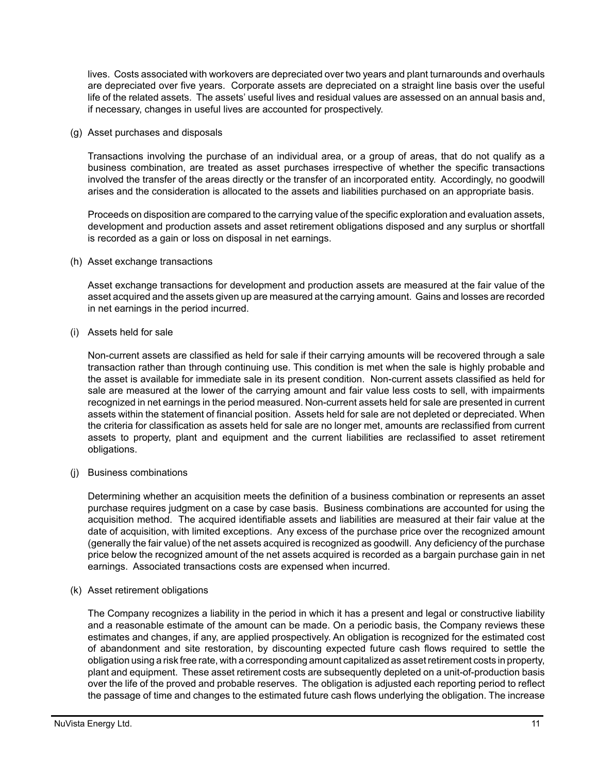lives. Costs associated with workovers are depreciated over two years and plant turnarounds and overhauls are depreciated over five years. Corporate assets are depreciated on a straight line basis over the useful life of the related assets. The assets' useful lives and residual values are assessed on an annual basis and, if necessary, changes in useful lives are accounted for prospectively.

(g) Asset purchases and disposals

Transactions involving the purchase of an individual area, or a group of areas, that do not qualify as a business combination, are treated as asset purchases irrespective of whether the specific transactions involved the transfer of the areas directly or the transfer of an incorporated entity. Accordingly, no goodwill arises and the consideration is allocated to the assets and liabilities purchased on an appropriate basis.

Proceeds on disposition are compared to the carrying value of the specific exploration and evaluation assets, development and production assets and asset retirement obligations disposed and any surplus or shortfall is recorded as a gain or loss on disposal in net earnings.

(h) Asset exchange transactions

Asset exchange transactions for development and production assets are measured at the fair value of the asset acquired and the assets given up are measured at the carrying amount. Gains and losses are recorded in net earnings in the period incurred.

(i) Assets held for sale

Non-current assets are classified as held for sale if their carrying amounts will be recovered through a sale transaction rather than through continuing use. This condition is met when the sale is highly probable and the asset is available for immediate sale in its present condition. Non-current assets classified as held for sale are measured at the lower of the carrying amount and fair value less costs to sell, with impairments recognized in net earnings in the period measured. Non-current assets held for sale are presented in current assets within the statement of financial position. Assets held for sale are not depleted or depreciated. When the criteria for classification as assets held for sale are no longer met, amounts are reclassified from current assets to property, plant and equipment and the current liabilities are reclassified to asset retirement obligations.

(j) Business combinations

Determining whether an acquisition meets the definition of a business combination or represents an asset purchase requires judgment on a case by case basis. Business combinations are accounted for using the acquisition method. The acquired identifiable assets and liabilities are measured at their fair value at the date of acquisition, with limited exceptions. Any excess of the purchase price over the recognized amount (generally the fair value) of the net assets acquired is recognized as goodwill. Any deficiency of the purchase price below the recognized amount of the net assets acquired is recorded as a bargain purchase gain in net earnings. Associated transactions costs are expensed when incurred.

(k) Asset retirement obligations

The Company recognizes a liability in the period in which it has a present and legal or constructive liability and a reasonable estimate of the amount can be made. On a periodic basis, the Company reviews these estimates and changes, if any, are applied prospectively. An obligation is recognized for the estimated cost of abandonment and site restoration, by discounting expected future cash flows required to settle the obligation using a risk free rate, with a corresponding amount capitalized as asset retirement costs in property, plant and equipment. These asset retirement costs are subsequently depleted on a unit-of-production basis over the life of the proved and probable reserves. The obligation is adjusted each reporting period to reflect the passage of time and changes to the estimated future cash flows underlying the obligation. The increase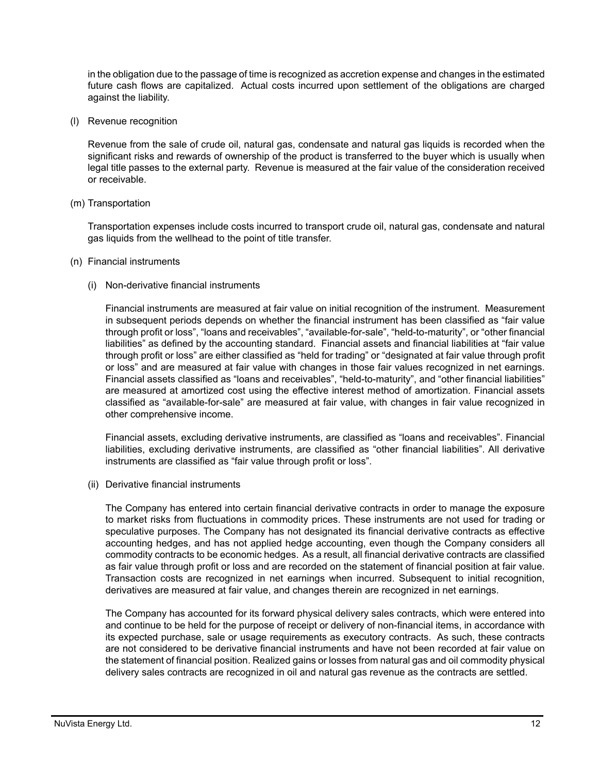in the obligation due to the passage of time is recognized as accretion expense and changes in the estimated future cash flows are capitalized. Actual costs incurred upon settlement of the obligations are charged against the liability.

(l) Revenue recognition

Revenue from the sale of crude oil, natural gas, condensate and natural gas liquids is recorded when the significant risks and rewards of ownership of the product is transferred to the buyer which is usually when legal title passes to the external party. Revenue is measured at the fair value of the consideration received or receivable.

(m) Transportation

Transportation expenses include costs incurred to transport crude oil, natural gas, condensate and natural gas liquids from the wellhead to the point of title transfer.

- (n) Financial instruments
	- (i) Non-derivative financial instruments

Financial instruments are measured at fair value on initial recognition of the instrument. Measurement in subsequent periods depends on whether the financial instrument has been classified as "fair value through profit or loss", "loans and receivables", "available-for-sale", "held-to-maturity", or "other financial liabilities" as defined by the accounting standard. Financial assets and financial liabilities at "fair value through profit or loss" are either classified as "held for trading" or "designated at fair value through profit or loss" and are measured at fair value with changes in those fair values recognized in net earnings. Financial assets classified as "loans and receivables", "held-to-maturity", and "other financial liabilities" are measured at amortized cost using the effective interest method of amortization. Financial assets classified as "available-for-sale" are measured at fair value, with changes in fair value recognized in other comprehensive income.

Financial assets, excluding derivative instruments, are classified as "loans and receivables". Financial liabilities, excluding derivative instruments, are classified as "other financial liabilities". All derivative instruments are classified as "fair value through profit or loss".

(ii) Derivative financial instruments

The Company has entered into certain financial derivative contracts in order to manage the exposure to market risks from fluctuations in commodity prices. These instruments are not used for trading or speculative purposes. The Company has not designated its financial derivative contracts as effective accounting hedges, and has not applied hedge accounting, even though the Company considers all commodity contracts to be economic hedges. As a result, all financial derivative contracts are classified as fair value through profit or loss and are recorded on the statement of financial position at fair value. Transaction costs are recognized in net earnings when incurred. Subsequent to initial recognition, derivatives are measured at fair value, and changes therein are recognized in net earnings.

The Company has accounted for its forward physical delivery sales contracts, which were entered into and continue to be held for the purpose of receipt or delivery of non-financial items, in accordance with its expected purchase, sale or usage requirements as executory contracts. As such, these contracts are not considered to be derivative financial instruments and have not been recorded at fair value on the statement of financial position. Realized gains or losses from natural gas and oil commodity physical delivery sales contracts are recognized in oil and natural gas revenue as the contracts are settled.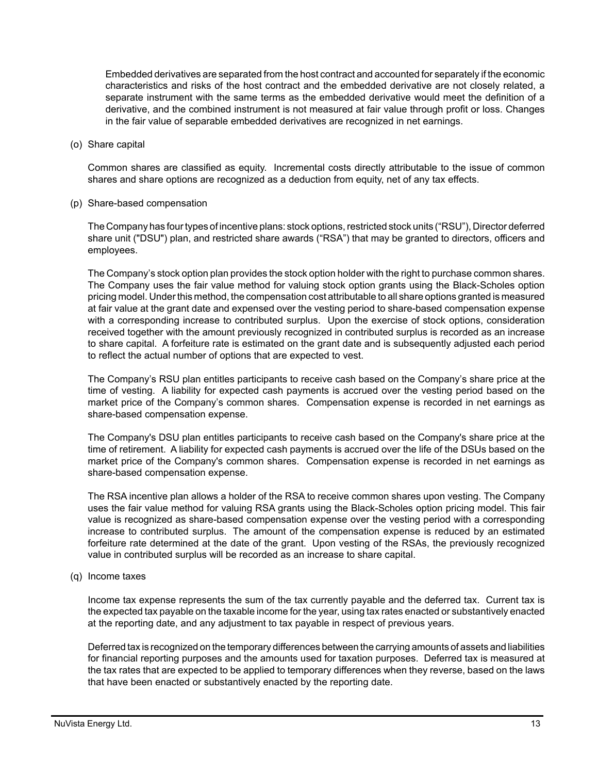Embedded derivatives are separated from the host contract and accounted for separately if the economic characteristics and risks of the host contract and the embedded derivative are not closely related, a separate instrument with the same terms as the embedded derivative would meet the definition of a derivative, and the combined instrument is not measured at fair value through profit or loss. Changes in the fair value of separable embedded derivatives are recognized in net earnings.

(o) Share capital

Common shares are classified as equity. Incremental costs directly attributable to the issue of common shares and share options are recognized as a deduction from equity, net of any tax effects.

(p) Share-based compensation

The Company has four types of incentive plans: stock options, restricted stock units ("RSU"), Director deferred share unit ("DSU") plan, and restricted share awards ("RSA") that may be granted to directors, officers and employees.

The Company's stock option plan provides the stock option holder with the right to purchase common shares. The Company uses the fair value method for valuing stock option grants using the Black-Scholes option pricing model. Under this method, the compensation cost attributable to all share options granted is measured at fair value at the grant date and expensed over the vesting period to share-based compensation expense with a corresponding increase to contributed surplus. Upon the exercise of stock options, consideration received together with the amount previously recognized in contributed surplus is recorded as an increase to share capital. A forfeiture rate is estimated on the grant date and is subsequently adjusted each period to reflect the actual number of options that are expected to vest.

The Company's RSU plan entitles participants to receive cash based on the Company's share price at the time of vesting. A liability for expected cash payments is accrued over the vesting period based on the market price of the Company's common shares. Compensation expense is recorded in net earnings as share-based compensation expense.

The Company's DSU plan entitles participants to receive cash based on the Company's share price at the time of retirement. A liability for expected cash payments is accrued over the life of the DSUs based on the market price of the Company's common shares. Compensation expense is recorded in net earnings as share-based compensation expense.

The RSA incentive plan allows a holder of the RSA to receive common shares upon vesting. The Company uses the fair value method for valuing RSA grants using the Black-Scholes option pricing model. This fair value is recognized as share-based compensation expense over the vesting period with a corresponding increase to contributed surplus. The amount of the compensation expense is reduced by an estimated forfeiture rate determined at the date of the grant. Upon vesting of the RSAs, the previously recognized value in contributed surplus will be recorded as an increase to share capital.

(q) Income taxes

Income tax expense represents the sum of the tax currently payable and the deferred tax. Current tax is the expected tax payable on the taxable income for the year, using tax rates enacted or substantively enacted at the reporting date, and any adjustment to tax payable in respect of previous years.

Deferred tax is recognized on the temporary differences between the carrying amounts of assets and liabilities for financial reporting purposes and the amounts used for taxation purposes. Deferred tax is measured at the tax rates that are expected to be applied to temporary differences when they reverse, based on the laws that have been enacted or substantively enacted by the reporting date.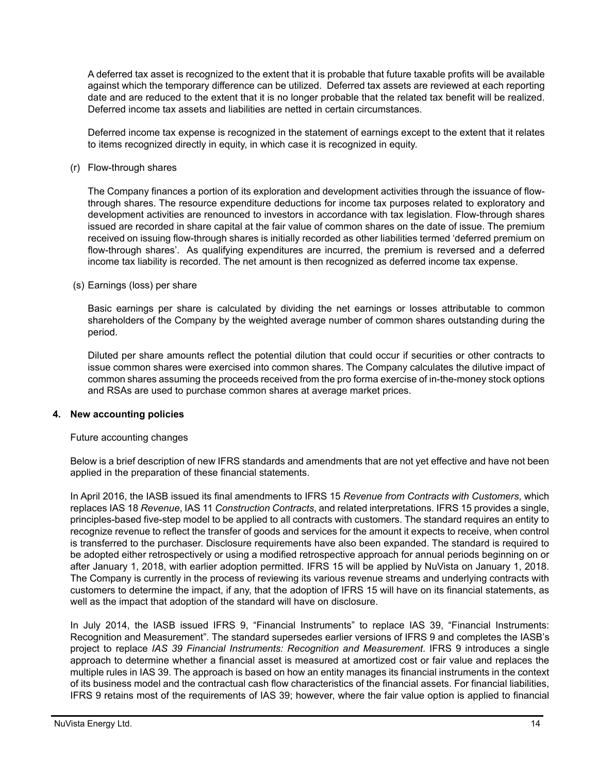A deferred tax asset is recognized to the extent that it is probable that future taxable profits will be available against which the temporary difference can be utilized. Deferred tax assets are reviewed at each reporting date and are reduced to the extent that it is no longer probable that the related tax benefit will be realized. Deferred income tax assets and liabilities are netted in certain circumstances.

Deferred income tax expense is recognized in the statement of earnings except to the extent that it relates to items recognized directly in equity, in which case it is recognized in equity.

#### (r) Flow-through shares

The Company finances a portion of its exploration and development activities through the issuance of flowthrough shares. The resource expenditure deductions for income tax purposes related to exploratory and development activities are renounced to investors in accordance with tax legislation. Flow-through shares issued are recorded in share capital at the fair value of common shares on the date of issue. The premium received on issuing flow-through shares is initially recorded as other liabilities termed 'deferred premium on flow-through shares'. As qualifying expenditures are incurred, the premium is reversed and a deferred income tax liability is recorded. The net amount is then recognized as deferred income tax expense.

# (s) Earnings (loss) per share

Basic earnings per share is calculated by dividing the net earnings or losses attributable to common shareholders of the Company by the weighted average number of common shares outstanding during the period.

Diluted per share amounts reflect the potential dilution that could occur if securities or other contracts to issue common shares were exercised into common shares. The Company calculates the dilutive impact of common shares assuming the proceeds received from the pro forma exercise of in-the-money stock options and RSAs are used to purchase common shares at average market prices.

#### **4. New accounting policies**

#### Future accounting changes

Below is a brief description of new IFRS standards and amendments that are not yet effective and have not been applied in the preparation of these financial statements.

In April 2016, the IASB issued its final amendments to IFRS 15 *Revenue from Contracts with Customers*, which replaces IAS 18 *Revenue*, IAS 11 *Construction Contracts*, and related interpretations. IFRS 15 provides a single, principles-based five-step model to be applied to all contracts with customers. The standard requires an entity to recognize revenue to reflect the transfer of goods and services for the amount it expects to receive, when control is transferred to the purchaser. Disclosure requirements have also been expanded. The standard is required to be adopted either retrospectively or using a modified retrospective approach for annual periods beginning on or after January 1, 2018, with earlier adoption permitted. IFRS 15 will be applied by NuVista on January 1, 2018. The Company is currently in the process of reviewing its various revenue streams and underlying contracts with customers to determine the impact, if any, that the adoption of IFRS 15 will have on its financial statements, as well as the impact that adoption of the standard will have on disclosure.

In July 2014, the IASB issued IFRS 9, "Financial Instruments" to replace IAS 39, "Financial Instruments: Recognition and Measurement". The standard supersedes earlier versions of IFRS 9 and completes the IASB's project to replace *IAS 39 Financial Instruments: Recognition and Measurement*. IFRS 9 introduces a single approach to determine whether a financial asset is measured at amortized cost or fair value and replaces the multiple rules in IAS 39. The approach is based on how an entity manages its financial instruments in the context of its business model and the contractual cash flow characteristics of the financial assets. For financial liabilities, IFRS 9 retains most of the requirements of IAS 39; however, where the fair value option is applied to financial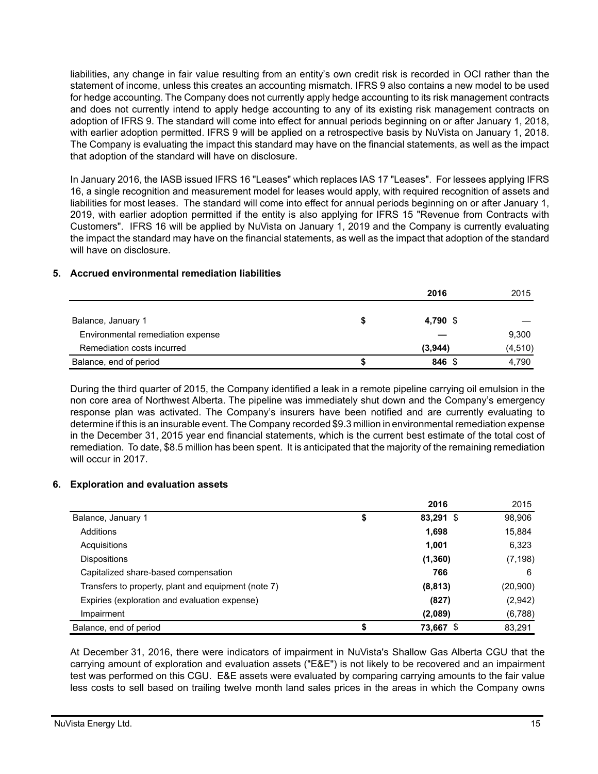liabilities, any change in fair value resulting from an entity's own credit risk is recorded in OCI rather than the statement of income, unless this creates an accounting mismatch. IFRS 9 also contains a new model to be used for hedge accounting. The Company does not currently apply hedge accounting to its risk management contracts and does not currently intend to apply hedge accounting to any of its existing risk management contracts on adoption of IFRS 9. The standard will come into effect for annual periods beginning on or after January 1, 2018, with earlier adoption permitted. IFRS 9 will be applied on a retrospective basis by NuVista on January 1, 2018. The Company is evaluating the impact this standard may have on the financial statements, as well as the impact that adoption of the standard will have on disclosure.

In January 2016, the IASB issued IFRS 16 "Leases" which replaces IAS 17 "Leases". For lessees applying IFRS 16, a single recognition and measurement model for leases would apply, with required recognition of assets and liabilities for most leases. The standard will come into effect for annual periods beginning on or after January 1, 2019, with earlier adoption permitted if the entity is also applying for IFRS 15 "Revenue from Contracts with Customers". IFRS 16 will be applied by NuVista on January 1, 2019 and the Company is currently evaluating the impact the standard may have on the financial statements, as well as the impact that adoption of the standard will have on disclosure.

# **5. Accrued environmental remediation liabilities**

|                                   | 2016     | 2015    |
|-----------------------------------|----------|---------|
|                                   |          |         |
| Balance, January 1                | 4,790 \$ |         |
| Environmental remediation expense |          | 9,300   |
| Remediation costs incurred        | (3,944)  | (4,510) |
| Balance, end of period            | 846 \$   | 4,790   |

During the third quarter of 2015, the Company identified a leak in a remote pipeline carrying oil emulsion in the non core area of Northwest Alberta. The pipeline was immediately shut down and the Company's emergency response plan was activated. The Company's insurers have been notified and are currently evaluating to determine if this is an insurable event. The Company recorded \$9.3 million in environmental remediation expense in the December 31, 2015 year end financial statements, which is the current best estimate of the total cost of remediation. To date, \$8.5 million has been spent. It is anticipated that the majority of the remaining remediation will occur in 2017.

# **6. Exploration and evaluation assets**

|                                                     | 2016            | 2015      |
|-----------------------------------------------------|-----------------|-----------|
| Balance, January 1                                  | \$<br>83,291 \$ | 98,906    |
| Additions                                           | 1,698           | 15,884    |
| Acquisitions                                        | 1,001           | 6,323     |
| <b>Dispositions</b>                                 | (1, 360)        | (7, 198)  |
| Capitalized share-based compensation                | 766             | 6         |
| Transfers to property, plant and equipment (note 7) | (8, 813)        | (20, 900) |
| Expiries (exploration and evaluation expense)       | (827)           | (2,942)   |
| Impairment                                          | (2,089)         | (6,788)   |
| Balance, end of period                              | 73,667 \$       | 83,291    |

At December 31, 2016, there were indicators of impairment in NuVista's Shallow Gas Alberta CGU that the carrying amount of exploration and evaluation assets ("E&E") is not likely to be recovered and an impairment test was performed on this CGU. E&E assets were evaluated by comparing carrying amounts to the fair value less costs to sell based on trailing twelve month land sales prices in the areas in which the Company owns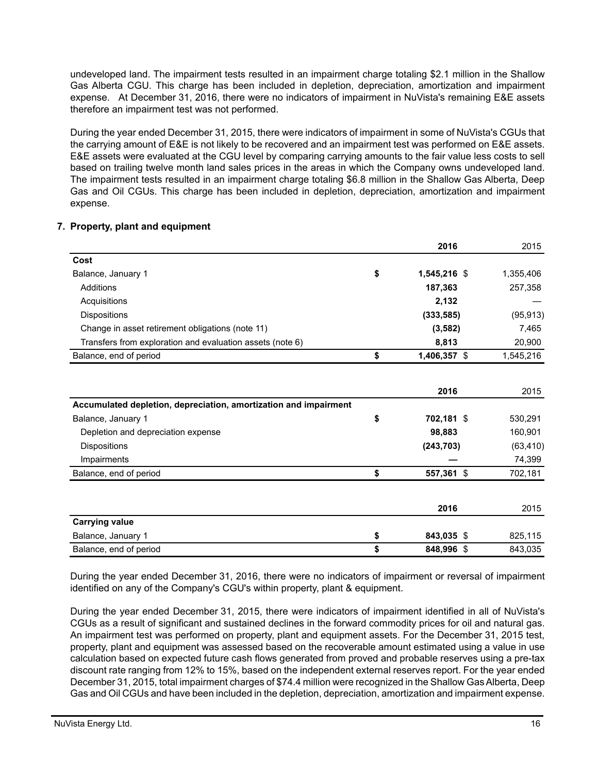undeveloped land. The impairment tests resulted in an impairment charge totaling \$2.1 million in the Shallow Gas Alberta CGU. This charge has been included in depletion, depreciation, amortization and impairment expense. At December 31, 2016, there were no indicators of impairment in NuVista's remaining E&E assets therefore an impairment test was not performed.

During the year ended December 31, 2015, there were indicators of impairment in some of NuVista's CGUs that the carrying amount of E&E is not likely to be recovered and an impairment test was performed on E&E assets. E&E assets were evaluated at the CGU level by comparing carrying amounts to the fair value less costs to sell based on trailing twelve month land sales prices in the areas in which the Company owns undeveloped land. The impairment tests resulted in an impairment charge totaling \$6.8 million in the Shallow Gas Alberta, Deep Gas and Oil CGUs. This charge has been included in depletion, depreciation, amortization and impairment expense.

# **7. Property, plant and equipment**

|                                                                  | 2016               | 2015      |
|------------------------------------------------------------------|--------------------|-----------|
| Cost                                                             |                    |           |
| Balance, January 1                                               | \$<br>1,545,216 \$ | 1,355,406 |
| Additions                                                        | 187,363            | 257,358   |
| Acquisitions                                                     | 2,132              |           |
| <b>Dispositions</b>                                              | (333, 585)         | (95, 913) |
| Change in asset retirement obligations (note 11)                 | (3, 582)           | 7,465     |
| Transfers from exploration and evaluation assets (note 6)        | 8,813              | 20,900    |
| Balance, end of period                                           | \$<br>1,406,357 \$ | 1,545,216 |
|                                                                  | 2016               | 2015      |
| Accumulated depletion, depreciation, amortization and impairment |                    |           |
| Balance, January 1                                               | \$<br>702,181 \$   | 530,291   |
| Depletion and depreciation expense                               | 98,883             | 160,901   |
| <b>Dispositions</b>                                              | (243, 703)         | (63, 410) |
| Impairments                                                      |                    | 74,399    |
| Balance, end of period                                           | \$<br>557,361 \$   | 702,181   |
|                                                                  | 2016               | 2015      |

|                        | ----    | ---     |
|------------------------|---------|---------|
| <b>Carrying value</b>  |         |         |
| Balance, January 1     | 843.035 | 825.115 |
| Balance, end of period | 848.996 | 843,035 |

During the year ended December 31, 2016, there were no indicators of impairment or reversal of impairment identified on any of the Company's CGU's within property, plant & equipment.

During the year ended December 31, 2015, there were indicators of impairment identified in all of NuVista's CGUs as a result of significant and sustained declines in the forward commodity prices for oil and natural gas. An impairment test was performed on property, plant and equipment assets. For the December 31, 2015 test, property, plant and equipment was assessed based on the recoverable amount estimated using a value in use calculation based on expected future cash flows generated from proved and probable reserves using a pre-tax discount rate ranging from 12% to 15%, based on the independent external reserves report. For the year ended December 31, 2015, total impairment charges of \$74.4 million were recognized in the Shallow Gas Alberta, Deep Gas and Oil CGUs and have been included in the depletion, depreciation, amortization and impairment expense.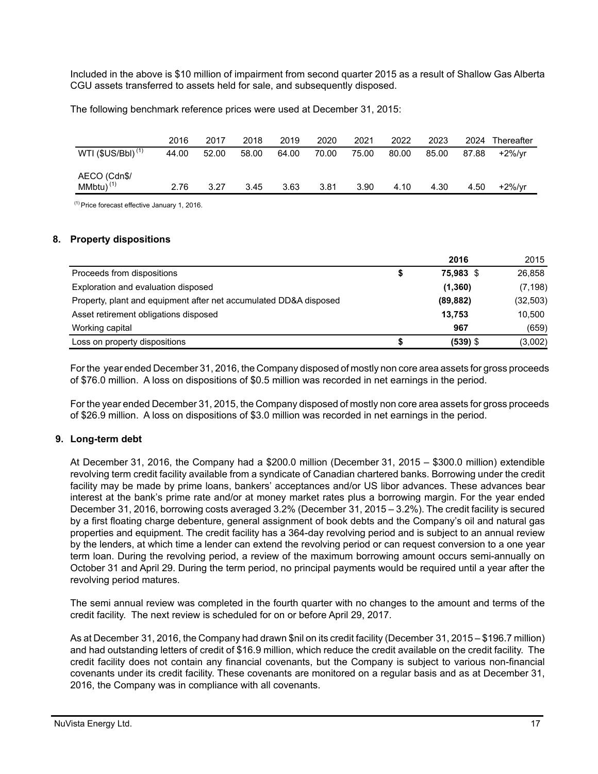Included in the above is \$10 million of impairment from second quarter 2015 as a result of Shallow Gas Alberta CGU assets transferred to assets held for sale, and subsequently disposed.

The following benchmark reference prices were used at December 31, 2015:

|                                       | 2016  | 2017  | 2018  | 2019  | 2020  | 2021  | 2022  | 2023  | 2024  | Thereafter |
|---------------------------------------|-------|-------|-------|-------|-------|-------|-------|-------|-------|------------|
| WTI $(SUS/Bbl)^{(1)}$                 | 44.00 | 52.00 | 58.00 | 64.00 | 70.00 | 75.00 | 80.00 | 85.00 | 87.88 | $+2\%$ /vr |
| AECO (Cdn\$/<br>MMbtu) <sup>(1)</sup> | 2.76  | 3.27  | 3.45  | 3.63  | 3.81  | 3.90  | 4.10  | 4.30  | 4.50  | $+2\%$ /vr |

(1) Price forecast effective January 1, 2016.

# **8. Property dispositions**

|                                                                   |   | 2016       | 2015      |
|-------------------------------------------------------------------|---|------------|-----------|
| Proceeds from dispositions                                        | S | 75,983 \$  | 26,858    |
| Exploration and evaluation disposed                               |   | (1, 360)   | (7, 198)  |
| Property, plant and equipment after net accumulated DD&A disposed |   | (89, 882)  | (32, 503) |
| Asset retirement obligations disposed                             |   | 13,753     | 10,500    |
| Working capital                                                   |   | 967        | (659)     |
| Loss on property dispositions                                     |   | $(539)$ \$ | (3,002)   |

For the year ended December 31, 2016, the Company disposed of mostly non core area assets for gross proceeds of \$76.0 million. A loss on dispositions of \$0.5 million was recorded in net earnings in the period.

For the year ended December 31, 2015, the Company disposed of mostly non core area assets for gross proceeds of \$26.9 million. A loss on dispositions of \$3.0 million was recorded in net earnings in the period.

# **9. Long-term debt**

At December 31, 2016, the Company had a \$200.0 million (December 31, 2015 – \$300.0 million) extendible revolving term credit facility available from a syndicate of Canadian chartered banks. Borrowing under the credit facility may be made by prime loans, bankers' acceptances and/or US libor advances. These advances bear interest at the bank's prime rate and/or at money market rates plus a borrowing margin. For the year ended December 31, 2016, borrowing costs averaged 3.2% (December 31, 2015 – 3.2%). The credit facility is secured by a first floating charge debenture, general assignment of book debts and the Company's oil and natural gas properties and equipment. The credit facility has a 364-day revolving period and is subject to an annual review by the lenders, at which time a lender can extend the revolving period or can request conversion to a one year term loan. During the revolving period, a review of the maximum borrowing amount occurs semi-annually on October 31 and April 29. During the term period, no principal payments would be required until a year after the revolving period matures.

The semi annual review was completed in the fourth quarter with no changes to the amount and terms of the credit facility. The next review is scheduled for on or before April 29, 2017.

As at December 31, 2016, the Company had drawn \$nil on its credit facility (December 31, 2015 – \$196.7 million) and had outstanding letters of credit of \$16.9 million, which reduce the credit available on the credit facility. The credit facility does not contain any financial covenants, but the Company is subject to various non-financial covenants under its credit facility. These covenants are monitored on a regular basis and as at December 31, 2016, the Company was in compliance with all covenants.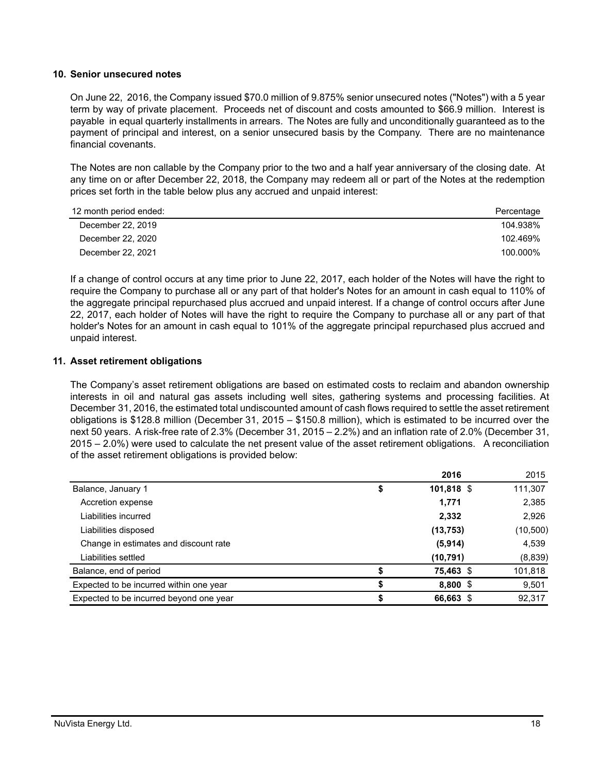## **10. Senior unsecured notes**

On June 22, 2016, the Company issued \$70.0 million of 9.875% senior unsecured notes ("Notes") with a 5 year term by way of private placement. Proceeds net of discount and costs amounted to \$66.9 million. Interest is payable in equal quarterly installments in arrears. The Notes are fully and unconditionally guaranteed as to the payment of principal and interest, on a senior unsecured basis by the Company. There are no maintenance financial covenants.

The Notes are non callable by the Company prior to the two and a half year anniversary of the closing date. At any time on or after December 22, 2018, the Company may redeem all or part of the Notes at the redemption prices set forth in the table below plus any accrued and unpaid interest:

| 12 month period ended: | Percentage |
|------------------------|------------|
| December 22, 2019      | 104.938%   |
| December 22, 2020      | 102.469%   |
| December 22, 2021      | 100.000%   |

If a change of control occurs at any time prior to June 22, 2017, each holder of the Notes will have the right to require the Company to purchase all or any part of that holder's Notes for an amount in cash equal to 110% of the aggregate principal repurchased plus accrued and unpaid interest. If a change of control occurs after June 22, 2017, each holder of Notes will have the right to require the Company to purchase all or any part of that holder's Notes for an amount in cash equal to 101% of the aggregate principal repurchased plus accrued and unpaid interest.

# **11. Asset retirement obligations**

The Company's asset retirement obligations are based on estimated costs to reclaim and abandon ownership interests in oil and natural gas assets including well sites, gathering systems and processing facilities. At December 31, 2016, the estimated total undiscounted amount of cash flows required to settle the asset retirement obligations is \$128.8 million (December 31, 2015 – \$150.8 million), which is estimated to be incurred over the next 50 years. A risk-free rate of 2.3% (December 31, 2015 – 2.2%) and an inflation rate of 2.0% (December 31, 2015 – 2.0%) were used to calculate the net present value of the asset retirement obligations. A reconciliation of the asset retirement obligations is provided below:

|                                         | 2016             | 2015     |
|-----------------------------------------|------------------|----------|
| Balance, January 1                      | \$<br>101,818 \$ | 111,307  |
| Accretion expense                       | 1,771            | 2,385    |
| Liabilities incurred                    | 2,332            | 2,926    |
| Liabilities disposed                    | (13, 753)        | (10,500) |
| Change in estimates and discount rate   | (5, 914)         | 4,539    |
| Liabilities settled                     | (10, 791)        | (8,839)  |
| Balance, end of period                  | 75,463 \$        | 101,818  |
| Expected to be incurred within one year | 8,800 \$         | 9,501    |
| Expected to be incurred beyond one year | 66,663 \$        | 92,317   |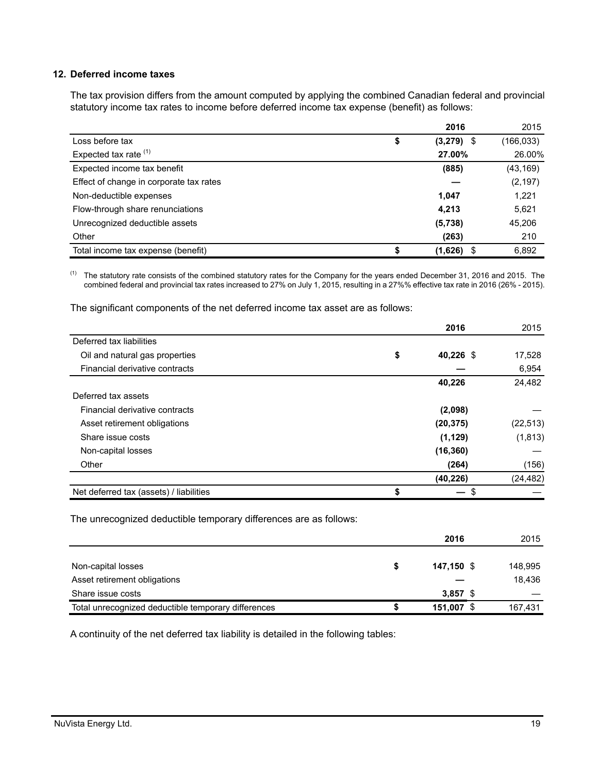# **12. Deferred income taxes**

The tax provision differs from the amount computed by applying the combined Canadian federal and provincial statutory income tax rates to income before deferred income tax expense (benefit) as follows:

|                                         | 2016                   | 2015       |
|-----------------------------------------|------------------------|------------|
| Loss before tax                         | \$<br>(3, 279)<br>- \$ | (166, 033) |
| Expected tax rate $(1)$                 | 27.00%                 | 26.00%     |
| Expected income tax benefit             | (885)                  | (43,169)   |
| Effect of change in corporate tax rates |                        | (2, 197)   |
| Non-deductible expenses                 | 1,047                  | 1,221      |
| Flow-through share renunciations        | 4,213                  | 5,621      |
| Unrecognized deductible assets          | (5,738)                | 45,206     |
| Other                                   | (263)                  | 210        |
| Total income tax expense (benefit)      | \$<br>(1,626)<br>S     | 6,892      |

(1) The statutory rate consists of the combined statutory rates for the Company for the years ended December 31, 2016 and 2015. The combined federal and provincial tax rates increased to 27% on July 1, 2015, resulting in a 27%% effective tax rate in 2016 (26% - 2015).

The significant components of the net deferred income tax asset are as follows:

|                                         | 2016            | 2015      |
|-----------------------------------------|-----------------|-----------|
| Deferred tax liabilities                |                 |           |
| Oil and natural gas properties          | \$<br>40,226 \$ | 17,528    |
| Financial derivative contracts          |                 | 6,954     |
|                                         | 40,226          | 24,482    |
| Deferred tax assets                     |                 |           |
| Financial derivative contracts          | (2,098)         |           |
| Asset retirement obligations            | (20, 375)       | (22, 513) |
| Share issue costs                       | (1, 129)        | (1, 813)  |
| Non-capital losses                      | (16, 360)       |           |
| Other                                   | (264)           | (156)     |
|                                         | (40, 226)       | (24,482)  |
| Net deferred tax (assets) / liabilities | \$<br>\$<br>—   |           |

The unrecognized deductible temporary differences are as follows:

|                                                     |   | 2016       |      | 2015    |
|-----------------------------------------------------|---|------------|------|---------|
|                                                     |   |            |      |         |
| Non-capital losses                                  | S | 147,150 \$ |      | 148,995 |
| Asset retirement obligations                        |   |            |      | 18.436  |
| Share issue costs                                   |   | 3,857      | - \$ |         |
| Total unrecognized deductible temporary differences |   | 151,007 \$ |      | 167,431 |

A continuity of the net deferred tax liability is detailed in the following tables: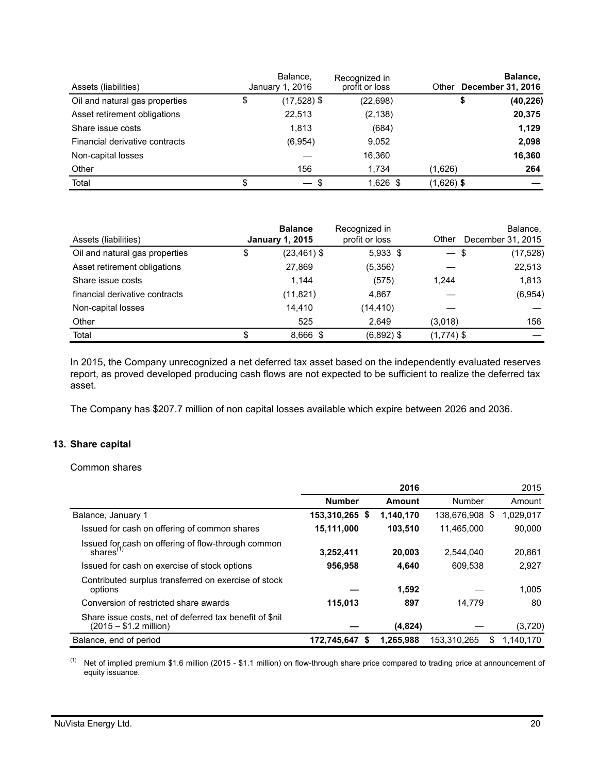|                                | Balance,                 | Recognized in  |              | Balance,                 |
|--------------------------------|--------------------------|----------------|--------------|--------------------------|
| Assets (liabilities)           | January 1, 2016          | profit or loss | Other        | <b>December 31, 2016</b> |
| Oil and natural gas properties | \$<br>$(17, 528)$ \$     | (22, 698)      |              | (40, 226)<br>\$          |
| Asset retirement obligations   | 22,513                   | (2, 138)       |              | 20,375                   |
| Share issue costs              | 1,813                    | (684)          |              | 1,129                    |
| Financial derivative contracts | (6,954)                  | 9,052          |              | 2,098                    |
| Non-capital losses             |                          | 16,360         |              | 16,360                   |
| Other                          | 156                      | 1.734          | (1,626)      | 264                      |
| Total                          | $\overline{\phantom{0}}$ | $1,626$ \$     | $(1,626)$ \$ |                          |

| Assets (liabilities)           | <b>Balance</b><br><b>January 1, 2015</b> | Recognized in<br>profit or loss | Other                           | Balance,<br>December 31, 2015 |
|--------------------------------|------------------------------------------|---------------------------------|---------------------------------|-------------------------------|
| Oil and natural gas properties | \$<br>$(23, 461)$ \$                     | $5,933$ \$                      | -\$<br>$\overline{\phantom{0}}$ | (17, 528)                     |
| Asset retirement obligations   | 27,869                                   | (5,356)                         |                                 | 22,513                        |
| Share issue costs              | 1.144                                    | (575)                           | 1.244                           | 1,813                         |
| financial derivative contracts | (11, 821)                                | 4,867                           |                                 | (6,954)                       |
| Non-capital losses             | 14.410                                   | (14, 410)                       |                                 |                               |
| Other                          | 525                                      | 2.649                           | (3,018)                         | 156                           |
| Total                          | 8,666 \$                                 | $(6,892)$ \$                    | $(1,774)$ \$                    |                               |

In 2015, the Company unrecognized a net deferred tax asset based on the independently evaluated reserves report, as proved developed producing cash flows are not expected to be sufficient to realize the deferred tax asset.

The Company has \$207.7 million of non capital losses available which expire between 2026 and 2036.

# **13. Share capital**

# Common shares

|                                                                                    | 2016           |           |                | 2015            |
|------------------------------------------------------------------------------------|----------------|-----------|----------------|-----------------|
|                                                                                    | <b>Number</b>  | Amount    | Number         | Amount          |
| Balance, January 1                                                                 | 153,310,265 \$ | 1.140.170 | 138.676.908 \$ | 1,029,017       |
| Issued for cash on offering of common shares                                       | 15,111,000     | 103.510   | 11.465.000     | 90,000          |
| Issued for cash on offering of flow-through common<br>shares $(1)$                 | 3,252,411      | 20,003    | 2.544.040      | 20.861          |
| Issued for cash on exercise of stock options                                       | 956,958        | 4,640     | 609.538        | 2,927           |
| Contributed surplus transferred on exercise of stock<br>options                    |                | 1.592     |                | 1.005           |
| Conversion of restricted share awards                                              | 115.013        | 897       | 14.779         | 80              |
| Share issue costs, net of deferred tax benefit of \$nil<br>$(2015 - $1.2$ million) |                | (4,824)   |                | (3,720)         |
| Balance, end of period                                                             | 172,745,647 \$ | 1.265.988 | 153,310,265    | 1.140.170<br>\$ |

(1) Net of implied premium \$1.6 million (2015 - \$1.1 million) on flow-through share price compared to trading price at announcement of equity issuance.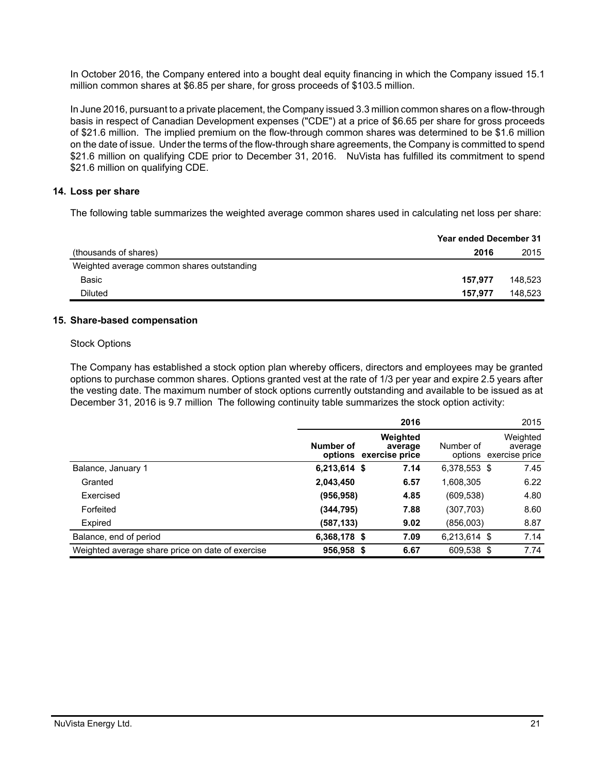In October 2016, the Company entered into a bought deal equity financing in which the Company issued 15.1 million common shares at \$6.85 per share, for gross proceeds of \$103.5 million.

In June 2016, pursuant to a private placement, the Company issued 3.3 million common shares on a flow-through basis in respect of Canadian Development expenses ("CDE") at a price of \$6.65 per share for gross proceeds of \$21.6 million. The implied premium on the flow-through common shares was determined to be \$1.6 million on the date of issue. Under the terms of the flow-through share agreements, the Company is committed to spend \$21.6 million on qualifying CDE prior to December 31, 2016. NuVista has fulfilled its commitment to spend \$21.6 million on qualifying CDE.

# **14. Loss per share**

The following table summarizes the weighted average common shares used in calculating net loss per share:

|                                            | <b>Year ended December 31</b> |         |  |
|--------------------------------------------|-------------------------------|---------|--|
| (thousands of shares)                      | 2016                          | 2015    |  |
| Weighted average common shares outstanding |                               |         |  |
| Basic                                      | 157.977                       | 148.523 |  |
| Diluted                                    | 157.977                       | 148.523 |  |

# **15. Share-based compensation**

#### Stock Options

The Company has established a stock option plan whereby officers, directors and employees may be granted options to purchase common shares. Options granted vest at the rate of 1/3 per year and expire 2.5 years after the vesting date. The maximum number of stock options currently outstanding and available to be issued as at December 31, 2016 is 9.7 million The following continuity table summarizes the stock option activity:

|                                                  |              | 2016                                          |              | 2015                                          |
|--------------------------------------------------|--------------|-----------------------------------------------|--------------|-----------------------------------------------|
|                                                  | Number of    | Weighted<br>average<br>options exercise price | Number of    | Weighted<br>average<br>options exercise price |
| Balance, January 1                               | 6,213,614 \$ | 7.14                                          | 6,378,553 \$ | 7.45                                          |
| Granted                                          | 2,043,450    | 6.57                                          | 1,608,305    | 6.22                                          |
| Exercised                                        | (956, 958)   | 4.85                                          | (609,538)    | 4.80                                          |
| Forfeited                                        | (344, 795)   | 7.88                                          | (307,703)    | 8.60                                          |
| Expired                                          | (587, 133)   | 9.02                                          | (856,003)    | 8.87                                          |
| Balance, end of period                           | 6,368,178 \$ | 7.09                                          | 6,213,614 \$ | 7.14                                          |
| Weighted average share price on date of exercise | 956,958 \$   | 6.67                                          | 609,538 \$   | 7.74                                          |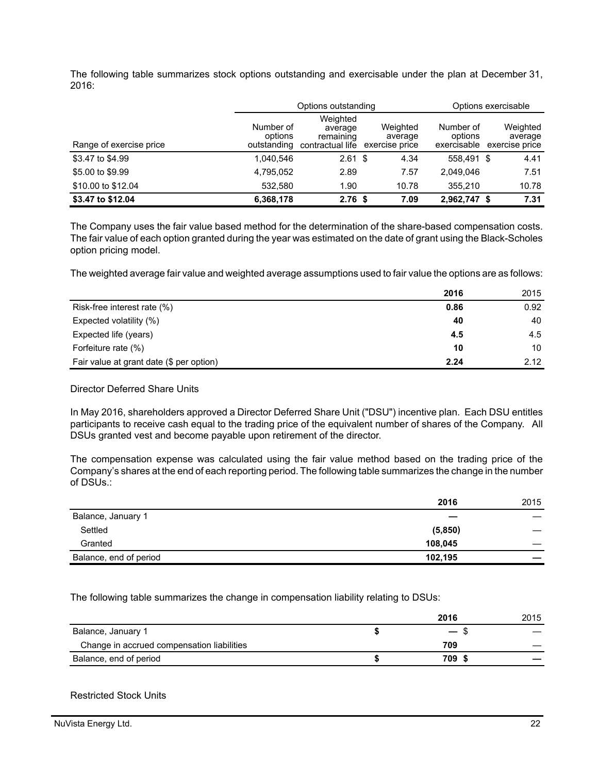The following table summarizes stock options outstanding and exercisable under the plan at December 31, 2016:

|                         | Options outstanding                 |                                                      |                                       | Options exercisable                 |                                       |  |
|-------------------------|-------------------------------------|------------------------------------------------------|---------------------------------------|-------------------------------------|---------------------------------------|--|
| Range of exercise price | Number of<br>options<br>outstanding | Weighted<br>average<br>remaining<br>contractual life | Weighted<br>average<br>exercise price | Number of<br>options<br>exercisable | Weighted<br>average<br>exercise price |  |
| \$3.47 to \$4.99        | 1.040.546                           | $2.61$ \$                                            | 4.34                                  | 558.491 \$                          | 4.41                                  |  |
| \$5.00 to \$9.99        | 4,795,052                           | 2.89                                                 | 7.57                                  | 2.049.046                           | 7.51                                  |  |
| \$10.00 to \$12.04      | 532.580                             | 1.90                                                 | 10.78                                 | 355.210                             | 10.78                                 |  |
| \$3.47 to \$12.04       | 6,368,178                           | 2.76 <sup>5</sup>                                    | 7.09                                  | 2,962,747 \$                        | 7.31                                  |  |

The Company uses the fair value based method for the determination of the share-based compensation costs. The fair value of each option granted during the year was estimated on the date of grant using the Black-Scholes option pricing model.

The weighted average fair value and weighted average assumptions used to fair value the options are as follows:

|                                          | 2016 | 2015 |
|------------------------------------------|------|------|
| Risk-free interest rate (%)              | 0.86 | 0.92 |
| Expected volatility (%)                  | 40   | 40   |
| Expected life (years)                    | 4.5  | 4.5  |
| Forfeiture rate (%)                      | 10   | 10   |
| Fair value at grant date (\$ per option) | 2.24 | 2.12 |

Director Deferred Share Units

In May 2016, shareholders approved a Director Deferred Share Unit ("DSU") incentive plan. Each DSU entitles participants to receive cash equal to the trading price of the equivalent number of shares of the Company. All DSUs granted vest and become payable upon retirement of the director.

The compensation expense was calculated using the fair value method based on the trading price of the Company's shares at the end of each reporting period. The following table summarizes the change in the number of DSUs.:

|                        | 2016    | 2015 |
|------------------------|---------|------|
| Balance, January 1     |         |      |
| Settled                | (5,850) |      |
| Granted                | 108.045 |      |
| Balance, end of period | 102,195 |      |

The following table summarizes the change in compensation liability relating to DSUs:

|                                            | 2016   | 2015 |
|--------------------------------------------|--------|------|
| Balance, January 1                         | $-$ \$ |      |
| Change in accrued compensation liabilities | 709    |      |
| Balance, end of period                     | 709    |      |

Restricted Stock Units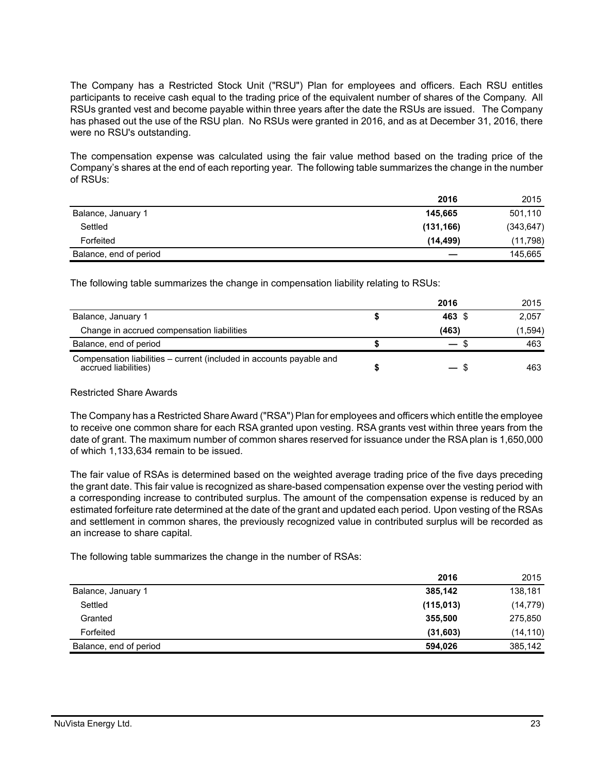The Company has a Restricted Stock Unit ("RSU") Plan for employees and officers. Each RSU entitles participants to receive cash equal to the trading price of the equivalent number of shares of the Company. All RSUs granted vest and become payable within three years after the date the RSUs are issued. The Company has phased out the use of the RSU plan. No RSUs were granted in 2016, and as at December 31, 2016, there were no RSU's outstanding.

The compensation expense was calculated using the fair value method based on the trading price of the Company's shares at the end of each reporting year. The following table summarizes the change in the number of RSUs:

|                        | 2016       | 2015       |
|------------------------|------------|------------|
| Balance, January 1     | 145.665    | 501,110    |
| Settled                | (131, 166) | (343, 647) |
| Forfeited              | (14.499)   | (11, 798)  |
| Balance, end of period |            | 145,665    |

The following table summarizes the change in compensation liability relating to RSUs:

|                                                                                              | 2016                     | 2015    |
|----------------------------------------------------------------------------------------------|--------------------------|---------|
| Balance, January 1                                                                           | 463 \$                   | 2,057   |
| Change in accrued compensation liabilities                                                   | (463)                    | (1,594) |
| Balance, end of period                                                                       | $\overline{\phantom{0}}$ | 463     |
| Compensation liabilities – current (included in accounts payable and<br>accrued liabilities) |                          | 463     |

#### Restricted Share Awards

The Company has a Restricted Share Award ("RSA") Plan for employees and officers which entitle the employee to receive one common share for each RSA granted upon vesting. RSA grants vest within three years from the date of grant. The maximum number of common shares reserved for issuance under the RSA plan is 1,650,000 of which 1,133,634 remain to be issued.

The fair value of RSAs is determined based on the weighted average trading price of the five days preceding the grant date. This fair value is recognized as share-based compensation expense over the vesting period with a corresponding increase to contributed surplus. The amount of the compensation expense is reduced by an estimated forfeiture rate determined at the date of the grant and updated each period. Upon vesting of the RSAs and settlement in common shares, the previously recognized value in contributed surplus will be recorded as an increase to share capital.

The following table summarizes the change in the number of RSAs:

|                        | 2016       | 2015      |
|------------------------|------------|-----------|
| Balance, January 1     | 385,142    | 138,181   |
| Settled                | (115, 013) | (14, 779) |
| Granted                | 355,500    | 275,850   |
| Forfeited              | (31,603)   | (14, 110) |
| Balance, end of period | 594.026    | 385.142   |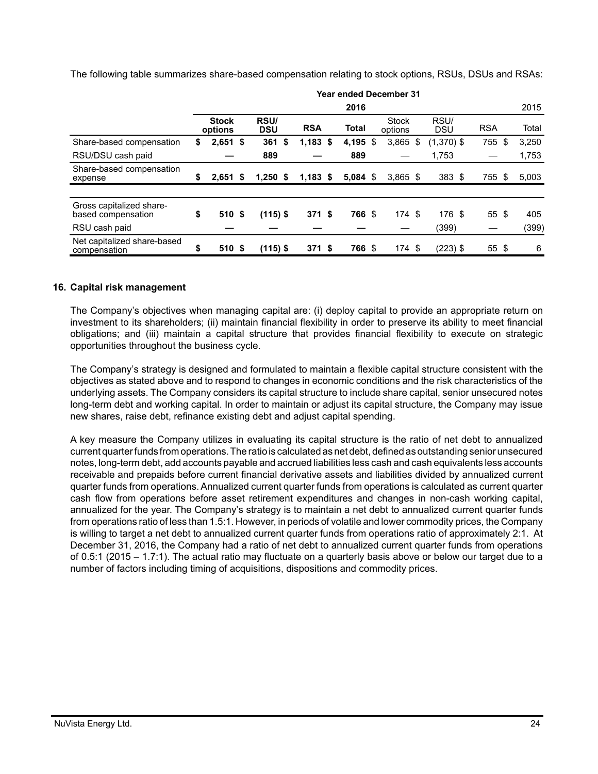The following table summarizes share-based compensation relating to stock options, RSUs, DSUs and RSAs:

|                                                |                         |      |                    |            |     |            | <b>Year ended December 31</b> |                    |            |             |
|------------------------------------------------|-------------------------|------|--------------------|------------|-----|------------|-------------------------------|--------------------|------------|-------------|
|                                                |                         |      |                    |            |     | 2016       |                               |                    |            | 2015        |
|                                                | <b>Stock</b><br>options |      | RSU/<br><b>DSU</b> | <b>RSA</b> |     | Total      | <b>Stock</b><br>options       | RSU/<br><b>DSU</b> | <b>RSA</b> | Total       |
| Share-based compensation                       | \$<br>$2,651$ \$        |      | $361$ \$           | $1,183$ \$ |     | 4,195 $$$  | $3,865$ \$                    | $(1,370)$ \$       | 755        | \$<br>3,250 |
| RSU/DSU cash paid                              |                         |      | 889                |            |     | 889        |                               | 1,753              |            | 1,753       |
| Share-based compensation<br>expense            | \$<br>2.651             | \$   | $1.250$ \$         | $1,183$ \$ |     | $5.084$ \$ | $3.865$ \$                    | 383S               | 755\$      | 5,003       |
|                                                |                         |      |                    |            |     |            |                               |                    |            |             |
| Gross capitalized share-<br>based compensation | \$<br>510S              |      | $(115)$ \$         | 371S       |     | 766 \$     | 174 \$                        | 176 \$             | 55 \$      | 405         |
| RSU cash paid                                  |                         |      |                    |            |     |            |                               | (399)              |            | (399)       |
| Net capitalized share-based<br>compensation    | \$<br>510               | - \$ | $(115)$ \$         | 371        | -\$ | 766 \$     | 174 \$                        | (223) \$           | 55 \$      | 6           |

# **16. Capital risk management**

The Company's objectives when managing capital are: (i) deploy capital to provide an appropriate return on investment to its shareholders; (ii) maintain financial flexibility in order to preserve its ability to meet financial obligations; and (iii) maintain a capital structure that provides financial flexibility to execute on strategic opportunities throughout the business cycle.

The Company's strategy is designed and formulated to maintain a flexible capital structure consistent with the objectives as stated above and to respond to changes in economic conditions and the risk characteristics of the underlying assets. The Company considers its capital structure to include share capital, senior unsecured notes long-term debt and working capital. In order to maintain or adjust its capital structure, the Company may issue new shares, raise debt, refinance existing debt and adjust capital spending.

A key measure the Company utilizes in evaluating its capital structure is the ratio of net debt to annualized current quarter funds from operations. The ratio is calculated as net debt, defined as outstanding senior unsecured notes, long-term debt, add accounts payable and accrued liabilities less cash and cash equivalents less accounts receivable and prepaids before current financial derivative assets and liabilities divided by annualized current quarter funds from operations. Annualized current quarter funds from operations is calculated as current quarter cash flow from operations before asset retirement expenditures and changes in non-cash working capital, annualized for the year. The Company's strategy is to maintain a net debt to annualized current quarter funds from operations ratio of less than 1.5:1. However, in periods of volatile and lower commodity prices, the Company is willing to target a net debt to annualized current quarter funds from operations ratio of approximately 2:1. At December 31, 2016, the Company had a ratio of net debt to annualized current quarter funds from operations of 0.5:1 (2015 – 1.7:1). The actual ratio may fluctuate on a quarterly basis above or below our target due to a number of factors including timing of acquisitions, dispositions and commodity prices.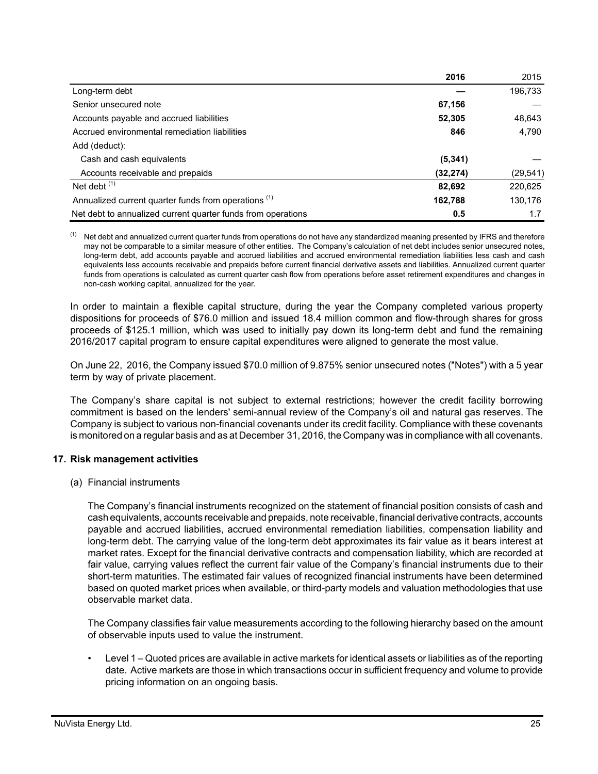|                                                              | 2016      | 2015      |
|--------------------------------------------------------------|-----------|-----------|
| Long-term debt                                               |           | 196,733   |
| Senior unsecured note                                        | 67,156    |           |
| Accounts payable and accrued liabilities                     | 52,305    | 48,643    |
| Accrued environmental remediation liabilities                | 846       | 4,790     |
| Add (deduct):                                                |           |           |
| Cash and cash equivalents                                    | (5, 341)  |           |
| Accounts receivable and prepaids                             | (32, 274) | (29, 541) |
| Net debt $(1)$                                               | 82,692    | 220,625   |
| Annualized current quarter funds from operations (1)         | 162,788   | 130,176   |
| Net debt to annualized current quarter funds from operations | 0.5       | 1.7       |

(1) Net debt and annualized current quarter funds from operations do not have any standardized meaning presented by IFRS and therefore may not be comparable to a similar measure of other entities. The Company's calculation of net debt includes senior unsecured notes, long-term debt, add accounts payable and accrued liabilities and accrued environmental remediation liabilities less cash and cash equivalents less accounts receivable and prepaids before current financial derivative assets and liabilities. Annualized current quarter funds from operations is calculated as current quarter cash flow from operations before asset retirement expenditures and changes in non-cash working capital, annualized for the year.

In order to maintain a flexible capital structure, during the year the Company completed various property dispositions for proceeds of \$76.0 million and issued 18.4 million common and flow-through shares for gross proceeds of \$125.1 million, which was used to initially pay down its long-term debt and fund the remaining 2016/2017 capital program to ensure capital expenditures were aligned to generate the most value.

On June 22, 2016, the Company issued \$70.0 million of 9.875% senior unsecured notes ("Notes") with a 5 year term by way of private placement.

The Company's share capital is not subject to external restrictions; however the credit facility borrowing commitment is based on the lenders' semi-annual review of the Company's oil and natural gas reserves. The Company is subject to various non-financial covenants under its credit facility. Compliance with these covenants is monitored on a regular basis and as at December 31, 2016, the Company was in compliance with all covenants.

# **17. Risk management activities**

(a) Financial instruments

The Company's financial instruments recognized on the statement of financial position consists of cash and cash equivalents, accounts receivable and prepaids, note receivable, financial derivative contracts, accounts payable and accrued liabilities, accrued environmental remediation liabilities, compensation liability and long-term debt. The carrying value of the long-term debt approximates its fair value as it bears interest at market rates. Except for the financial derivative contracts and compensation liability, which are recorded at fair value, carrying values reflect the current fair value of the Company's financial instruments due to their short-term maturities. The estimated fair values of recognized financial instruments have been determined based on quoted market prices when available, or third-party models and valuation methodologies that use observable market data.

The Company classifies fair value measurements according to the following hierarchy based on the amount of observable inputs used to value the instrument.

• Level 1 – Quoted prices are available in active markets for identical assets or liabilities as of the reporting date. Active markets are those in which transactions occur in sufficient frequency and volume to provide pricing information on an ongoing basis.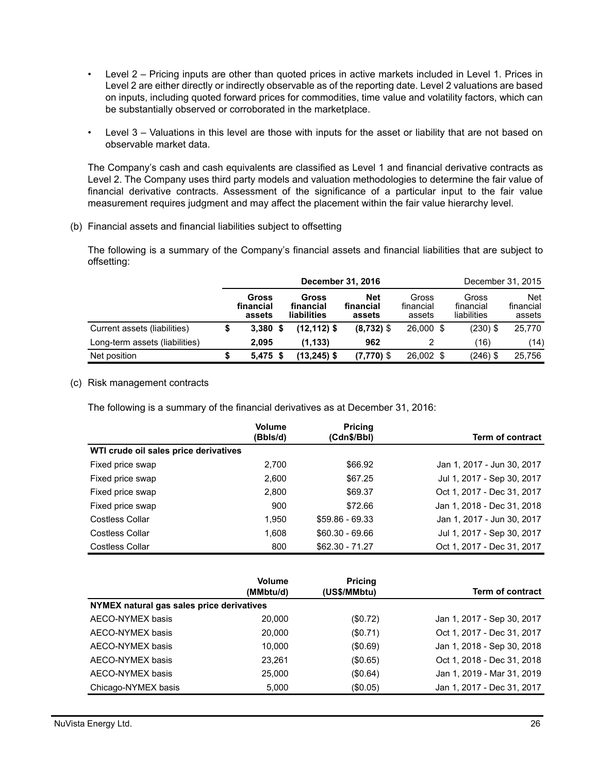- Level 2 Pricing inputs are other than quoted prices in active markets included in Level 1. Prices in Level 2 are either directly or indirectly observable as of the reporting date. Level 2 valuations are based on inputs, including quoted forward prices for commodities, time value and volatility factors, which can be substantially observed or corroborated in the marketplace.
- Level 3 Valuations in this level are those with inputs for the asset or liability that are not based on observable market data.

The Company's cash and cash equivalents are classified as Level 1 and financial derivative contracts as Level 2. The Company uses third party models and valuation methodologies to determine the fair value of financial derivative contracts. Assessment of the significance of a particular input to the fair value measurement requires judgment and may affect the placement within the fair value hierarchy level.

(b) Financial assets and financial liabilities subject to offsetting

The following is a summary of the Company's financial assets and financial liabilities that are subject to offsetting:

|                                | <b>December 31, 2016</b> |                              |  |                                   |                                   | December 31, 2015            |                                   |                                   |
|--------------------------------|--------------------------|------------------------------|--|-----------------------------------|-----------------------------------|------------------------------|-----------------------------------|-----------------------------------|
|                                |                          | Gross<br>financial<br>assets |  | Gross<br>financial<br>liabilities | <b>Net</b><br>financial<br>assets | Gross<br>financial<br>assets | Gross<br>financial<br>liabilities | <b>Net</b><br>financial<br>assets |
| Current assets (liabilities)   |                          | $3,380$ \$                   |  | $(12, 112)$ \$                    | $(8,732)$ \$                      | 26,000 \$                    | $(230)$ \$                        | 25,770                            |
| Long-term assets (liabilities) |                          | 2.095                        |  | (1, 133)                          | 962                               |                              | (16)                              | (14)                              |
| Net position                   |                          | $5.475$ \$                   |  | (13,245) \$                       | $(7,770)$ \$                      | 26,002 \$                    | (246) \$                          | 25,756                            |

#### (c) Risk management contracts

The following is a summary of the financial derivatives as at December 31, 2016:

|                                       | Volume<br>(Bbls/d) | <b>Pricing</b><br>(Cdn\$/Bbl) | <b>Term of contract</b>    |
|---------------------------------------|--------------------|-------------------------------|----------------------------|
| WTI crude oil sales price derivatives |                    |                               |                            |
| Fixed price swap                      | 2,700              | \$66.92                       | Jan 1, 2017 - Jun 30, 2017 |
| Fixed price swap                      | 2,600              | \$67.25                       | Jul 1, 2017 - Sep 30, 2017 |
| Fixed price swap                      | 2,800              | \$69.37                       | Oct 1, 2017 - Dec 31, 2017 |
| Fixed price swap                      | 900                | \$72.66                       | Jan 1, 2018 - Dec 31, 2018 |
| Costless Collar                       | 1.950              | $$59.86 - 69.33$              | Jan 1, 2017 - Jun 30, 2017 |
| Costless Collar                       | 1.608              | $$60.30 - 69.66$              | Jul 1, 2017 - Sep 30, 2017 |
| Costless Collar                       | 800                | $$62.30 - 71.27$              | Oct 1, 2017 - Dec 31, 2017 |

|                                           | <b>Volume</b><br>(MMbtu/d) | <b>Pricing</b><br>(US\$/MMbtu) | Term of contract           |
|-------------------------------------------|----------------------------|--------------------------------|----------------------------|
| NYMEX natural gas sales price derivatives |                            |                                |                            |
| AECO-NYMEX basis                          | 20,000                     | (\$0.72)                       | Jan 1, 2017 - Sep 30, 2017 |
| AECO-NYMEX basis                          | 20,000                     | (S0.71)                        | Oct 1, 2017 - Dec 31, 2017 |
| AECO-NYMEX basis                          | 10.000                     | (\$0.69)                       | Jan 1, 2018 - Sep 30, 2018 |
| AECO-NYMEX basis                          | 23.261                     | (\$0.65)                       | Oct 1, 2018 - Dec 31, 2018 |
| AECO-NYMEX basis                          | 25,000                     | (\$0.64)                       | Jan 1, 2019 - Mar 31, 2019 |
| Chicago-NYMEX basis                       | 5.000                      | $(\$0.05)$                     | Jan 1, 2017 - Dec 31, 2017 |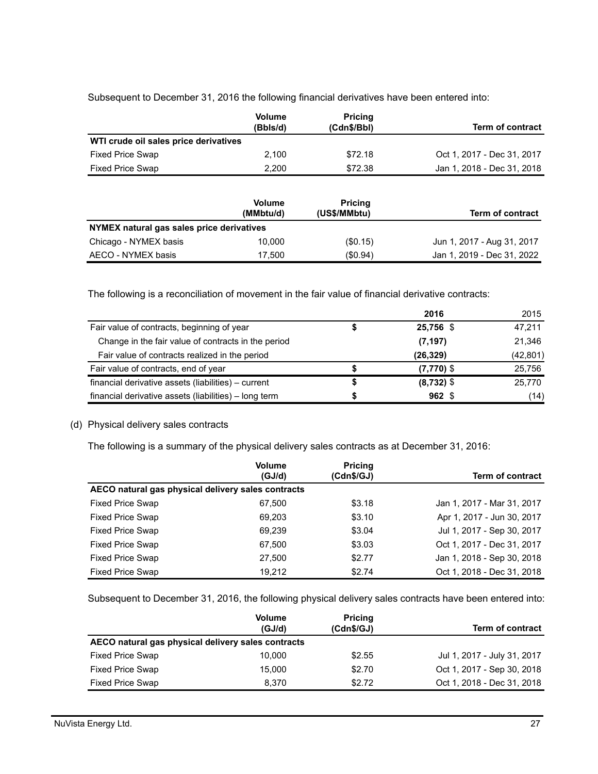|                                       | <b>Volume</b><br>(Bbls/d) | <b>Pricing</b><br>(Cdn\$/Bbl) | Term of contract           |
|---------------------------------------|---------------------------|-------------------------------|----------------------------|
| WTI crude oil sales price derivatives |                           |                               |                            |
| <b>Fixed Price Swap</b>               | 2.100                     | \$72.18                       | Oct 1, 2017 - Dec 31, 2017 |
| <b>Fixed Price Swap</b>               | 2.200                     | \$72.38                       | Jan 1, 2018 - Dec 31, 2018 |

Subsequent to December 31, 2016 the following financial derivatives have been entered into:

|                                           | <b>Volume</b><br>(MMbtu/d) | <b>Pricing</b><br>(US\$/MMbtu) | <b>Term of contract</b>    |
|-------------------------------------------|----------------------------|--------------------------------|----------------------------|
| NYMEX natural gas sales price derivatives |                            |                                |                            |
| Chicago - NYMEX basis                     | 10.000                     | (\$0.15)                       | Jun 1, 2017 - Aug 31, 2017 |
| AECO - NYMEX basis                        | 17.500                     | $(\$0.94)$                     | Jan 1, 2019 - Dec 31, 2022 |

The following is a reconciliation of movement in the fair value of financial derivative contracts:

|                                                       | 2016             | 2015      |
|-------------------------------------------------------|------------------|-----------|
| Fair value of contracts, beginning of year            | 25,756 \$        | 47,211    |
| Change in the fair value of contracts in the period   | (7, 197)         | 21.346    |
| Fair value of contracts realized in the period        | (26, 329)        | (42, 801) |
| Fair value of contracts, end of year                  | $(7,770)$ \$     | 25,756    |
| financial derivative assets (liabilities) - current   | $(8,732)$ \$     | 25.770    |
| financial derivative assets (liabilities) - long term | $962 \text{ } $$ | (14)      |

# (d) Physical delivery sales contracts

The following is a summary of the physical delivery sales contracts as at December 31, 2016:

|                                                    | <b>Volume</b><br>(GJ/d) | <b>Pricing</b><br>(Cdn\$/GJ) | <b>Term of contract</b>    |
|----------------------------------------------------|-------------------------|------------------------------|----------------------------|
| AECO natural gas physical delivery sales contracts |                         |                              |                            |
| <b>Fixed Price Swap</b>                            | 67,500                  | \$3.18                       | Jan 1, 2017 - Mar 31, 2017 |
| <b>Fixed Price Swap</b>                            | 69,203                  | \$3.10                       | Apr 1, 2017 - Jun 30, 2017 |
| <b>Fixed Price Swap</b>                            | 69,239                  | \$3.04                       | Jul 1, 2017 - Sep 30, 2017 |
| <b>Fixed Price Swap</b>                            | 67,500                  | \$3.03                       | Oct 1, 2017 - Dec 31, 2017 |
| <b>Fixed Price Swap</b>                            | 27,500                  | \$2.77                       | Jan 1, 2018 - Sep 30, 2018 |
| <b>Fixed Price Swap</b>                            | 19,212                  | \$2.74                       | Oct 1, 2018 - Dec 31, 2018 |

Subsequent to December 31, 2016, the following physical delivery sales contracts have been entered into:

|                                                    | <b>Volume</b><br>(GJ/d) | <b>Pricing</b><br>(Cdn\$/GJ) | <b>Term of contract</b>     |
|----------------------------------------------------|-------------------------|------------------------------|-----------------------------|
| AECO natural gas physical delivery sales contracts |                         |                              |                             |
| <b>Fixed Price Swap</b>                            | 10.000                  | \$2.55                       | Jul 1, 2017 - July 31, 2017 |
| <b>Fixed Price Swap</b>                            | 15.000                  | \$2.70                       | Oct 1, 2017 - Sep 30, 2018  |
| <b>Fixed Price Swap</b>                            | 8.370                   | \$2.72                       | Oct 1, 2018 - Dec 31, 2018  |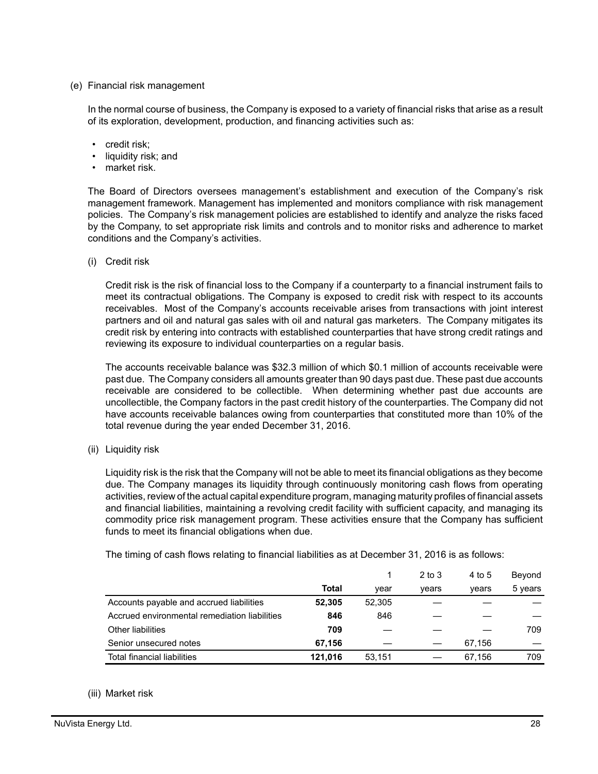# (e) Financial risk management

In the normal course of business, the Company is exposed to a variety of financial risks that arise as a result of its exploration, development, production, and financing activities such as:

- credit risk;
- liquidity risk; and
- market risk.

The Board of Directors oversees management's establishment and execution of the Company's risk management framework. Management has implemented and monitors compliance with risk management policies. The Company's risk management policies are established to identify and analyze the risks faced by the Company, to set appropriate risk limits and controls and to monitor risks and adherence to market conditions and the Company's activities.

(i) Credit risk

Credit risk is the risk of financial loss to the Company if a counterparty to a financial instrument fails to meet its contractual obligations. The Company is exposed to credit risk with respect to its accounts receivables. Most of the Company's accounts receivable arises from transactions with joint interest partners and oil and natural gas sales with oil and natural gas marketers. The Company mitigates its credit risk by entering into contracts with established counterparties that have strong credit ratings and reviewing its exposure to individual counterparties on a regular basis.

The accounts receivable balance was \$32.3 million of which \$0.1 million of accounts receivable were past due. The Company considers all amounts greater than 90 days past due. These past due accounts receivable are considered to be collectible. When determining whether past due accounts are uncollectible, the Company factors in the past credit history of the counterparties. The Company did not have accounts receivable balances owing from counterparties that constituted more than 10% of the total revenue during the year ended December 31, 2016.

(ii) Liquidity risk

Liquidity risk is the risk that the Company will not be able to meet its financial obligations as they become due. The Company manages its liquidity through continuously monitoring cash flows from operating activities, review of the actual capital expenditure program, managing maturity profiles of financial assets and financial liabilities, maintaining a revolving credit facility with sufficient capacity, and managing its commodity price risk management program. These activities ensure that the Company has sufficient funds to meet its financial obligations when due.

The timing of cash flows relating to financial liabilities as at December 31, 2016 is as follows:

|                                               |         |        | $2$ to $3$ | 4 to 5 | Beyond  |
|-----------------------------------------------|---------|--------|------------|--------|---------|
|                                               | Total   | year   | vears      | vears  | 5 years |
| Accounts payable and accrued liabilities      | 52,305  | 52.305 |            |        |         |
| Accrued environmental remediation liabilities | 846     | 846    |            |        |         |
| Other liabilities                             | 709     |        |            |        | 709     |
| Senior unsecured notes                        | 67.156  |        |            | 67.156 |         |
| <b>Total financial liabilities</b>            | 121.016 | 53.151 |            | 67.156 | 709     |

#### (iii) Market risk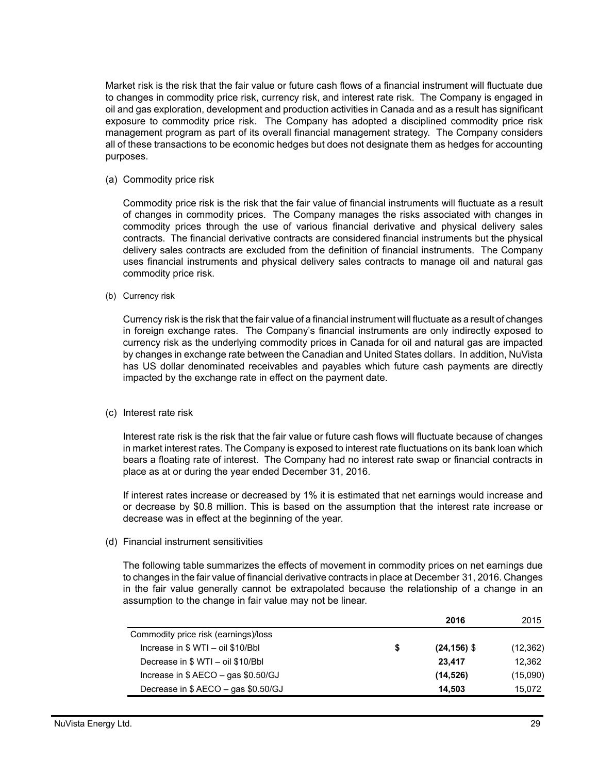Market risk is the risk that the fair value or future cash flows of a financial instrument will fluctuate due to changes in commodity price risk, currency risk, and interest rate risk. The Company is engaged in oil and gas exploration, development and production activities in Canada and as a result has significant exposure to commodity price risk. The Company has adopted a disciplined commodity price risk management program as part of its overall financial management strategy. The Company considers all of these transactions to be economic hedges but does not designate them as hedges for accounting purposes.

(a) Commodity price risk

Commodity price risk is the risk that the fair value of financial instruments will fluctuate as a result of changes in commodity prices. The Company manages the risks associated with changes in commodity prices through the use of various financial derivative and physical delivery sales contracts. The financial derivative contracts are considered financial instruments but the physical delivery sales contracts are excluded from the definition of financial instruments. The Company uses financial instruments and physical delivery sales contracts to manage oil and natural gas commodity price risk.

(b) Currency risk

Currency risk is the risk that the fair value of a financial instrument will fluctuate as a result of changes in foreign exchange rates. The Company's financial instruments are only indirectly exposed to currency risk as the underlying commodity prices in Canada for oil and natural gas are impacted by changes in exchange rate between the Canadian and United States dollars. In addition, NuVista has US dollar denominated receivables and payables which future cash payments are directly impacted by the exchange rate in effect on the payment date.

# (c) Interest rate risk

Interest rate risk is the risk that the fair value or future cash flows will fluctuate because of changes in market interest rates. The Company is exposed to interest rate fluctuations on its bank loan which bears a floating rate of interest. The Company had no interest rate swap or financial contracts in place as at or during the year ended December 31, 2016.

If interest rates increase or decreased by 1% it is estimated that net earnings would increase and or decrease by \$0.8 million. This is based on the assumption that the interest rate increase or decrease was in effect at the beginning of the year.

(d) Financial instrument sensitivities

The following table summarizes the effects of movement in commodity prices on net earnings due to changes in the fair value of financial derivative contracts in place at December 31, 2016. Changes in the fair value generally cannot be extrapolated because the relationship of a change in an assumption to the change in fair value may not be linear.

|                                      |   | 2016           | 2015      |
|--------------------------------------|---|----------------|-----------|
| Commodity price risk (earnings)/loss |   |                |           |
| Increase in \$ WTI - oil \$10/Bbl    | S | $(24, 156)$ \$ | (12, 362) |
| Decrease in \$ WTI - oil \$10/Bbl    |   | 23.417         | 12.362    |
| Increase in $$AECO - gas $0.50/GJ$   |   | (14, 526)      | (15,090)  |
| Decrease in \$ AECO - gas \$0.50/GJ  |   | 14.503         | 15,072    |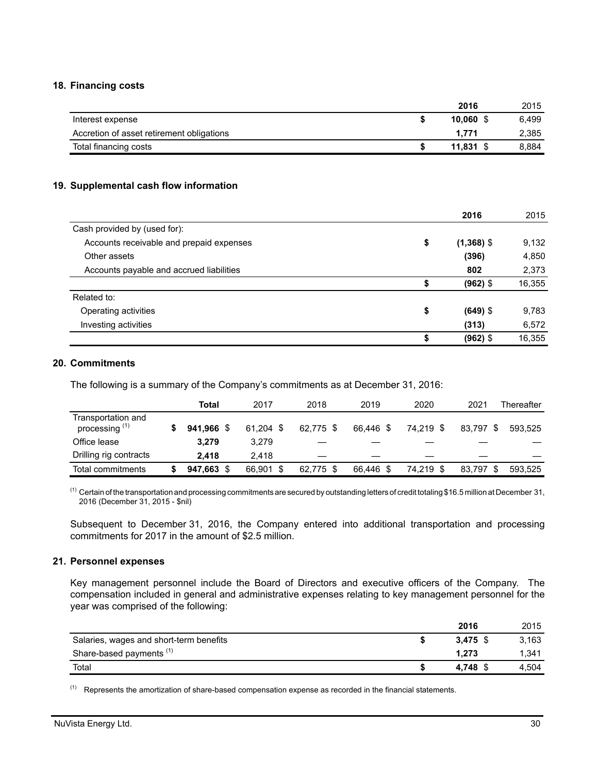# **18. Financing costs**

|                                           | 2016        | 2015  |
|-------------------------------------------|-------------|-------|
| Interest expense                          | $10.060$ \$ | 6.499 |
| Accretion of asset retirement obligations | 1.771       | 2.385 |
| Total financing costs                     | 11.831      | 8.884 |

# **19. Supplemental cash flow information**

|                                          |    | 2016         | 2015   |
|------------------------------------------|----|--------------|--------|
| Cash provided by (used for):             |    |              |        |
| Accounts receivable and prepaid expenses | \$ | $(1,368)$ \$ | 9,132  |
| Other assets                             |    | (396)        | 4,850  |
| Accounts payable and accrued liabilities |    | 802          | 2,373  |
|                                          | S  | $(962)$ \$   | 16,355 |
| Related to:                              |    |              |        |
| Operating activities                     | \$ | $(649)$ \$   | 9,783  |
| Investing activities                     |    | (313)        | 6,572  |
|                                          | S  | $(962)$ \$   | 16,355 |

# **20. Commitments**

The following is a summary of the Company's commitments as at December 31, 2016:

|                                      | Total      | 2017          | 2018      | 2019      | 2020      | 2021      | Thereafter     |
|--------------------------------------|------------|---------------|-----------|-----------|-----------|-----------|----------------|
| Transportation and<br>processing (1) | 941.966 \$ | 61.204<br>-\$ | 62.775 \$ | 66.446 \$ | 74.219 \$ | 83.797 \$ | 593.525        |
| Office lease                         | 3.279      | 3.279         |           |           |           |           |                |
| Drilling rig contracts               | 2.418      | 2.418         |           |           |           |           |                |
| Total commitments                    | 947.663 \$ | 66.901        | 62.775 \$ | 66.446 \$ | 74.219 \$ | 83.797    | \$.<br>593.525 |

 $^{(1)}$  Certain of the transportation and processing commitments are secured by outstanding letters of credit totaling \$16.5 million at December 31, 2016 (December 31, 2015 - \$nil)

Subsequent to December 31, 2016, the Company entered into additional transportation and processing commitments for 2017 in the amount of \$2.5 million.

# **21. Personnel expenses**

Key management personnel include the Board of Directors and executive officers of the Company. The compensation included in general and administrative expenses relating to key management personnel for the year was comprised of the following:

|                                         | 2016       | 2015  |
|-----------------------------------------|------------|-------|
| Salaries, wages and short-term benefits | $3.475$ \$ | 3.163 |
| Share-based payments <sup>(1)</sup>     | 1.273      | 1,341 |
| Total                                   | 4.748 \$   | 4.504 |

 $(1)$  Represents the amortization of share-based compensation expense as recorded in the financial statements.